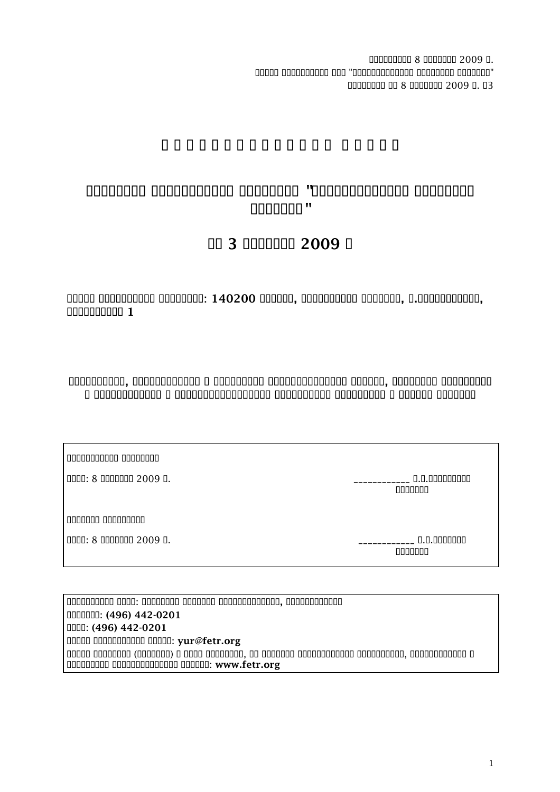8 2009 .  $\mathbf{u}$  "  $\mathbf{u}$ "  $\mathbf{u}$ "  $\mathbf{u}$ "  $\mathbf{u}$ "  $\mathbf{u}$ "  $\mathbf{u}$ "  $\mathbf{u}$ "  $\mathbf{u}$ "  $\mathbf{u}$ "  $\mathbf{u}$ "  $\mathbf{u}$ "  $\mathbf{u}$ "  $\mathbf{u}$ "  $\mathbf{u}$ "  $\mathbf{u}$ "  $\mathbf{u}$ "  $\mathbf{u}$ "  $\mathbf{u}$ "  $\mathbf{u}$ "  $\mathbf{u}$ "  $\mathbf{u}$ "

8 2009 . 3

*<i>*  $\mathbf{v}$   $\mathbf{v}$ *"* 

# **3 2009**

 : **140200 , , ., 1**

 $: 8$  2009 .  $: 8$  2009 .  $: 8$  2009 .  $: 8$  2009 .  $: 100$ 

**, ,** 

 : **,**  : **(496) 442-0201** : **(496) 442-0201** : **yur@fetr.org**  $\text{Y}$  is  $\text{Y}$  is  $\text{Y}$  is  $\text{Y}$  is  $\text{Y}$  is  $\text{Y}$  is  $\text{Y}$  is  $\text{Y}$  is  $\text{Y}$  is  $\text{Y}$  is  $\text{Y}$  is  $\text{Y}$  is  $\text{Y}$  is  $\text{Y}$  is  $\text{Y}$  is  $\text{Y}$  is  $\text{Y}$  is  $\text{Y}$  is  $\text{Y}$  is  $\text{Y}$  is : **www.fetr.org**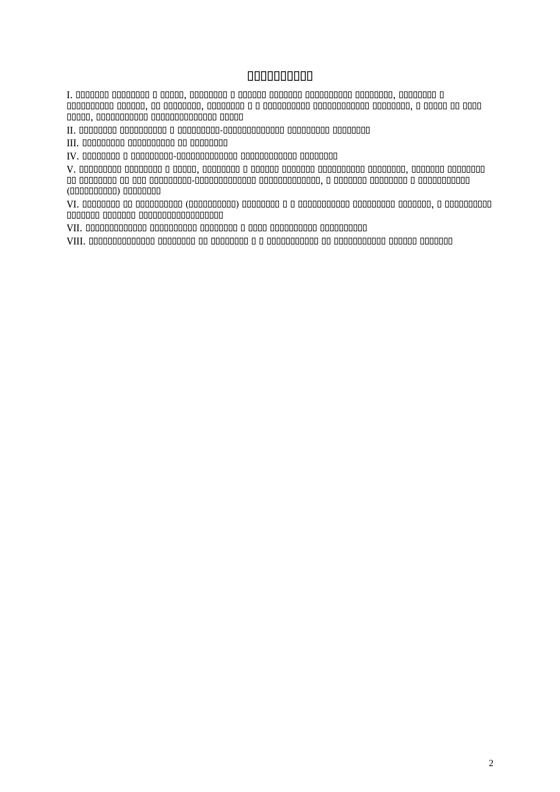| I.                                                          |   | ,                        |                          | $\overline{\phantom{a}}$ |  |
|-------------------------------------------------------------|---|--------------------------|--------------------------|--------------------------|--|
|                                                             | , | $\overline{\phantom{a}}$ |                          | ,                        |  |
| $\overline{\phantom{a}}$<br>$\rm{II}.$<br>III.<br>IV.<br>V. |   | $\overline{\phantom{a}}$ |                          | ,                        |  |
| $\overline{(\ }$<br>VI.                                     |   |                          | $\overline{\phantom{a}}$ |                          |  |
| VII.<br>VIII.                                               |   |                          |                          |                          |  |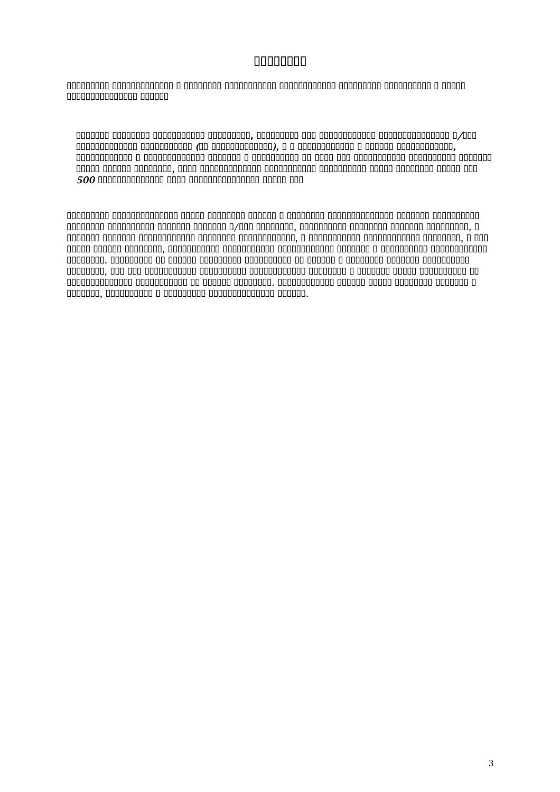

 $\sqrt{\phantom{a}}$ 

j

 $\overline{3}$ 

Ϊ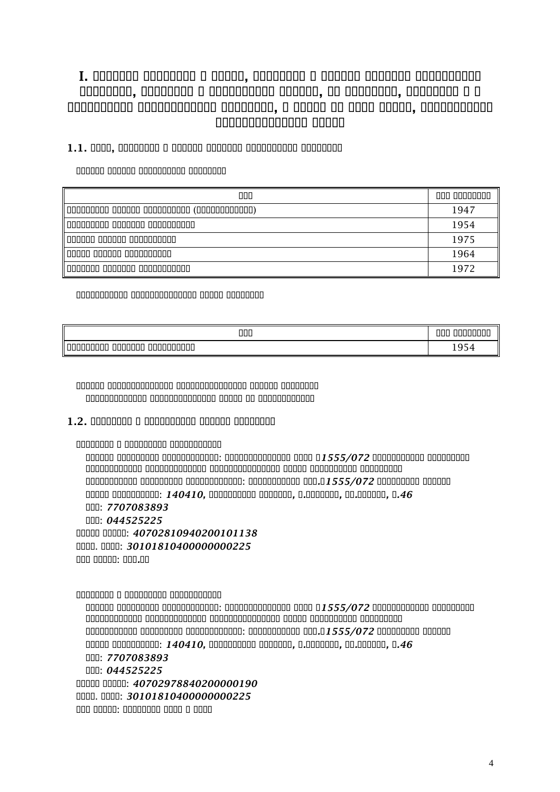**1.1.** ,

| 1947 |
|------|
| 1954 |
| 1975 |
| 1964 |
| 1972 |

**, , ,**   $\,$  ,  $\,$  ,  $\,$  ,  $\,$  ,  $\,$  ,  $\,$  ,  $\,$  ,  $\,$  ,  $\,$  ,  $\,$  ,  $\,$  ,  $\,$  ,  $\,$  ,  $\,$  ,  $\,$  ,  $\,$  ,  $\,$  ,  $\,$  ,  $\,$  ,  $\,$  ,  $\,$  ,  $\,$  ,  $\,$  ,  $\,$  ,  $\,$  ,  $\,$  ,  $\,$  ,  $\,$  ,  $\,$  ,  $\,$  ,  $\,$  ,  $\,$ 

| 1954 |
|------|

**1.2.** 



| ٠                          |           | . 1555/072     |       |  |
|----------------------------|-----------|----------------|-------|--|
| : $140410,$                | $\cdot$ . | $\mathbf{y}$ . | . .46 |  |
| : 7707083893               |           |                |       |  |
| :044525225                 |           |                |       |  |
| $\pm 40702978840200000190$ |           |                |       |  |

. : *30101810400000000225*

: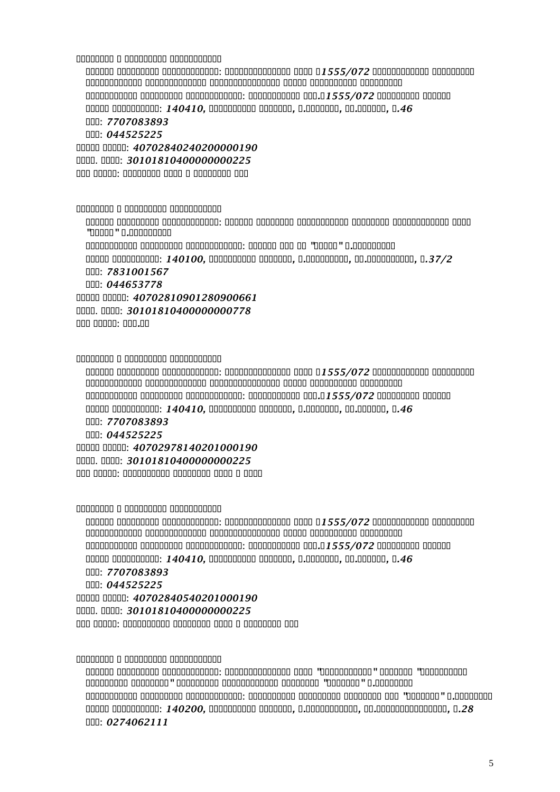: *1555/072* 

: *.1555/072* 

 : *140410, , ., ., .46* : *7707083893* : *044525225* : *40702840240200000190*

. : *30101810400000000225* :

 : *"" .* : *"" .* : *140100, , ., ., .37/2*

: *7831001567* : *044653778*

 : *40702810901280900661* . : *30101810400000000778* : *.*

> : *1555/072*  : *.1555/072*

 : *140410, , ., ., .46* : *7707083893* : *044525225*

: *40702978140201000190*

. : *30101810400000000225* :

: *1555/072* 

 : *.1555/072*  : *140410, , ., ., .46* : *7707083893*

: *044525225* : *40702840540201000190* . : *30101810400000000225*

:

 : *"" " " "" .* : *"" .* : *140200, , ., ., .28* : *0274062111*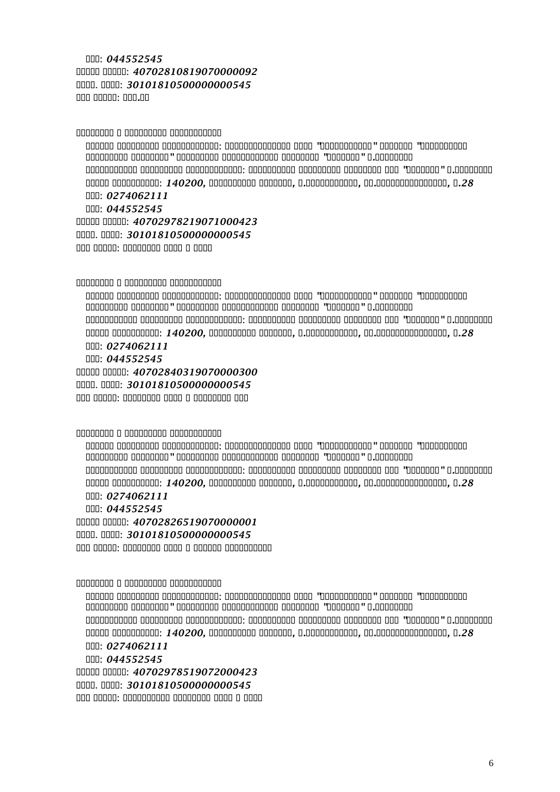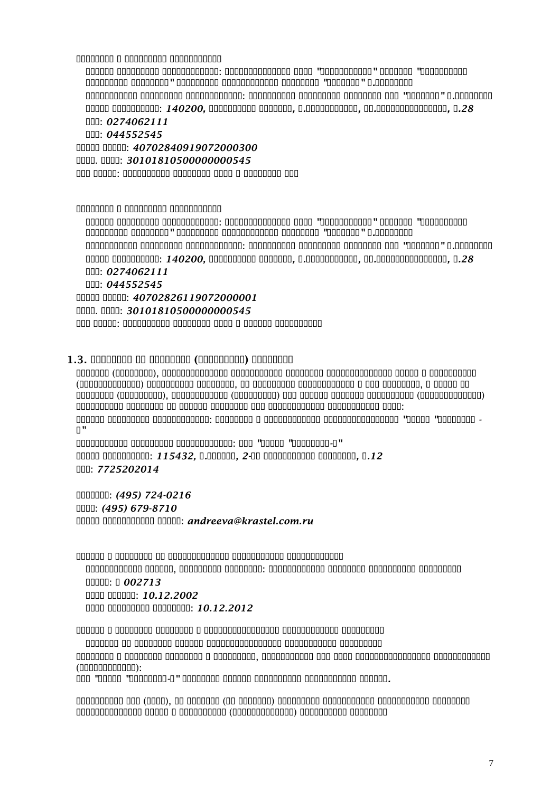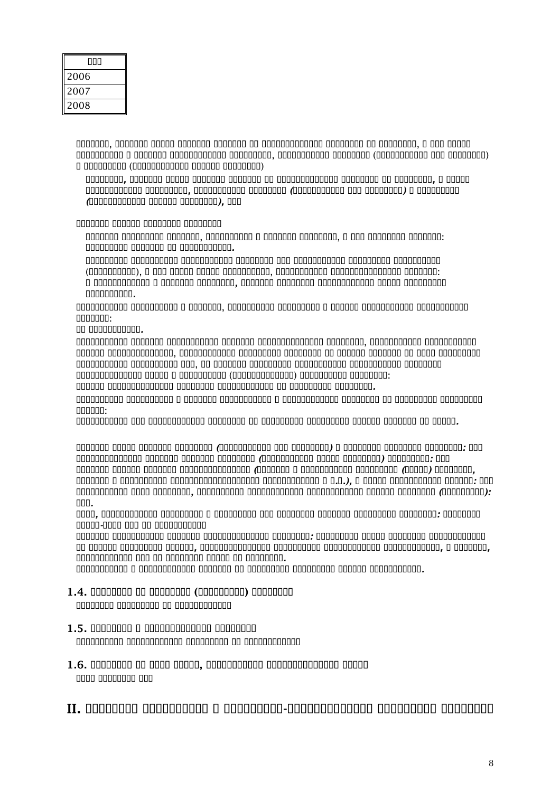| 2006 |  |
|------|--|
| 2007 |  |
| 2008 |  |



| 1.4. |  |  |
|------|--|--|
|------|--|--|

 $1.5.$ 

 $1.6.$  $\overline{\phantom{a}}$ 

II.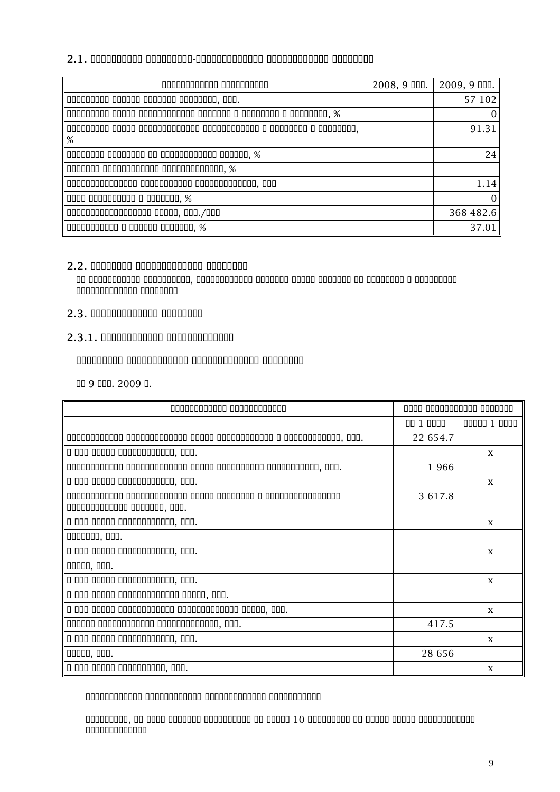#### **2.1. -**

|                                                                         | 2008, 9<br>$\sim$ | 2009, 9   |
|-------------------------------------------------------------------------|-------------------|-----------|
| $\sim 100$<br>$\overline{\phantom{a}}$                                  |                   | 57 102    |
| , %                                                                     |                   |           |
| ,                                                                       |                   | 91.31     |
| $% \mathcal{A}_{\mathrm{H}}\times\mathcal{A}_{\mathrm{H}}^{\mathrm{H}}$ |                   |           |
| , $\%$                                                                  |                   | 24        |
| , $\%$                                                                  |                   |           |
| $\mathbf{r}$                                                            |                   | 1.14      |
| , %                                                                     |                   |           |
|                                                                         |                   | 368 482.6 |
| $\%$                                                                    |                   | 37.01     |

,

## **2.2.**

## **2.3.**

**2.3.1.** 

### 9 . 2009 .

|                                       | $\,1$    | $\,1$       |
|---------------------------------------|----------|-------------|
| $\bullet$<br>$\,$                     | 22 654.7 |             |
| $\pmb{\mathsf{y}}$<br>$\bullet$       |          | $\mathbf X$ |
| $\bullet$<br>$\,$                     | 1966     |             |
| $\pmb{\mathsf{y}}$<br>$\bullet$       |          | $\mathbf X$ |
|                                       | 3 617.8  |             |
| $\,$<br>$\blacksquare$                |          |             |
| $\,$<br>٠                             |          | $\mathbf X$ |
| $\,$<br>$\bullet$                     |          |             |
| $\,$<br>٠                             |          | $\mathbf X$ |
| $\,$<br>$\bullet$                     |          |             |
| $\overline{\phantom{a}}$<br>٠         |          | $\mathbf X$ |
| $\,$<br>$\bullet$                     |          |             |
| $\mathbf{y}$<br>$\bullet$             |          | $\mathbf X$ |
| $\,$<br>$\bullet$                     | 417.5    |             |
| $\overline{\phantom{a}}$<br>$\bullet$ |          | $\mathbf X$ |
| $\,$<br>$\bullet$                     | 28 6 5 6 |             |
| $\overline{\phantom{a}}$<br>$\bullet$ |          | $\mathbf X$ |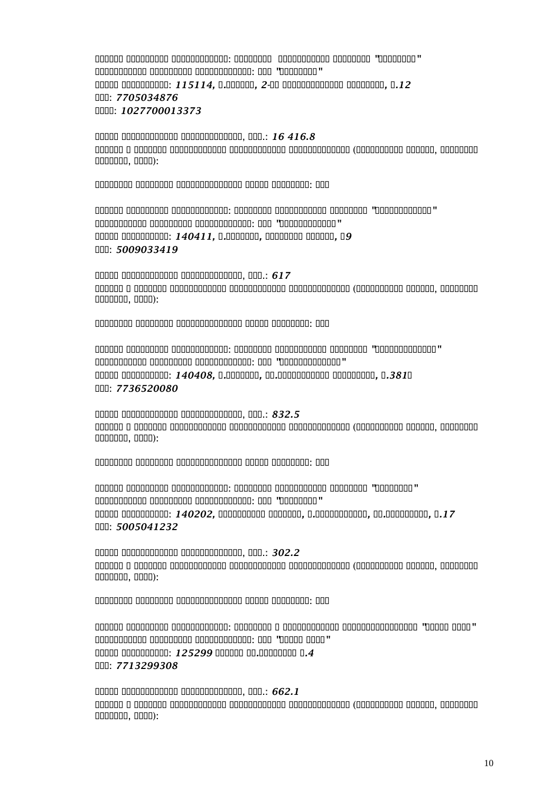: *""* : *""* : 115114, . , 2- , .12 : *7705034876* : *1027700013373*



 $($ ,  $,$ , ): : : *""*

 : *""* : *140411, ., , 9* : *5009033419*

 , .: *617*  $($ ,  $,$ , ):

 : : *""* : *""* : *140408, ., . , .381* : *7736520080*

#### , .: *832.5*

 $($ ,  $,$ , ): :

 : *""* : *""* : *140202, , ., ., .17*

: *5005041232*

 , .: *302.2*  $($ ,  $,$ , ): : : *" "* : *" "*

 : *125299 . .4* : *7713299308*

 , .: *662.1*  $($ ,  $,$ , ):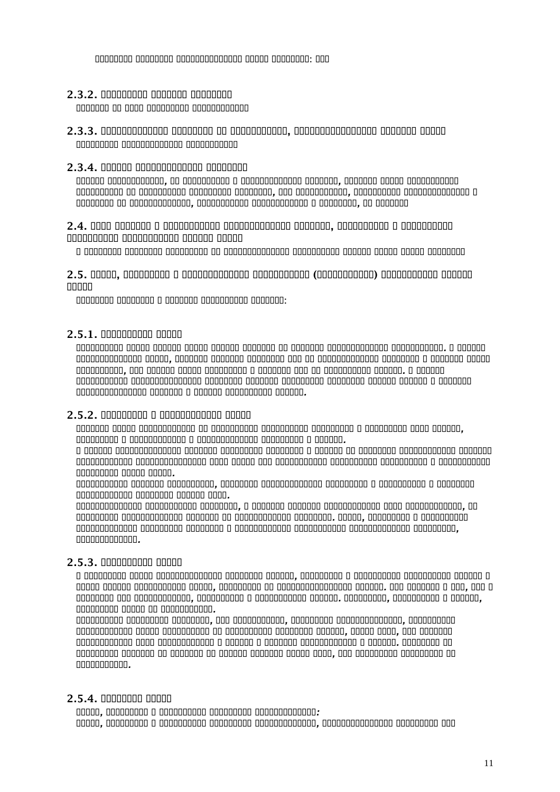$2.3.2.$  $2.3.3.$  $\,$  $2.3.4.$  $\cdot$  $\pmb{\cdot}$  $\pmb{\cdot}$  $2.4.$ 

 $\pm$ 

 $2.5.$  $\overline{(\ }$  $\overline{\phantom{a}}$  $\overline{ }$  $\frac{1}{2}$ 

 $2.5.1.$  $\mathcal{L}_{\mathcal{A}}$ 

,

 $\overline{\phantom{a}}$ 

 $\frac{1}{2}$ 

 $\cdot$ 

,

 $2.5.2.$ 

 $\overline{\phantom{a}}$ 

 $2.5.3.$ 

 $2.5.4.$ 

 $\frac{1}{2}$ 

 $\ddot{\phantom{a}}$ 

 $\overline{a}$ 

 $\pmb{\cdot}$ 

 $\overline{\phantom{a}}$ 

 $\overline{\phantom{a}}$ 

,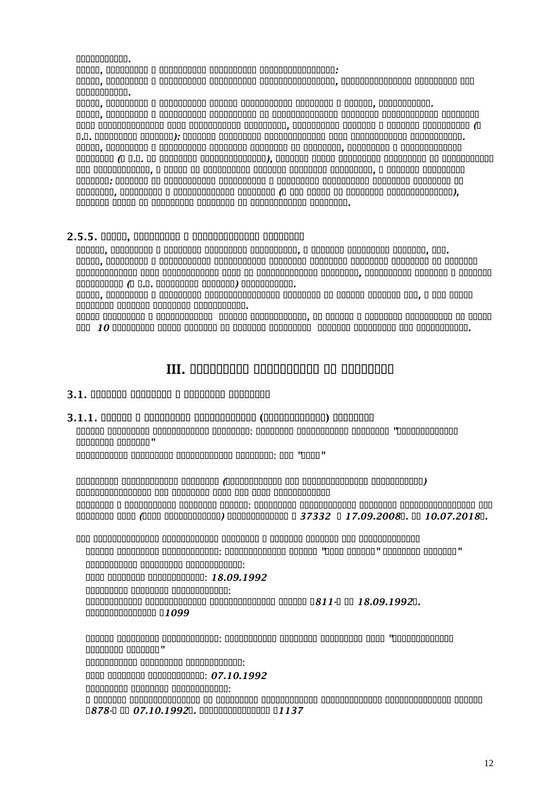



**III.** 

**3.1.** 

**3.1.1.** ( ) : *" "* : *"" ( )*  : *( ) 37332 17.09.2008. 10.07.2018.* : *" " "* **Service State State State State**  : *18.09.1992* :  *811- 18.09.1992. 1099* : *"*

 *"*  $\mathbb{R}^2$  : *07.10.1992* :

*878- 07.10.1992. 1137*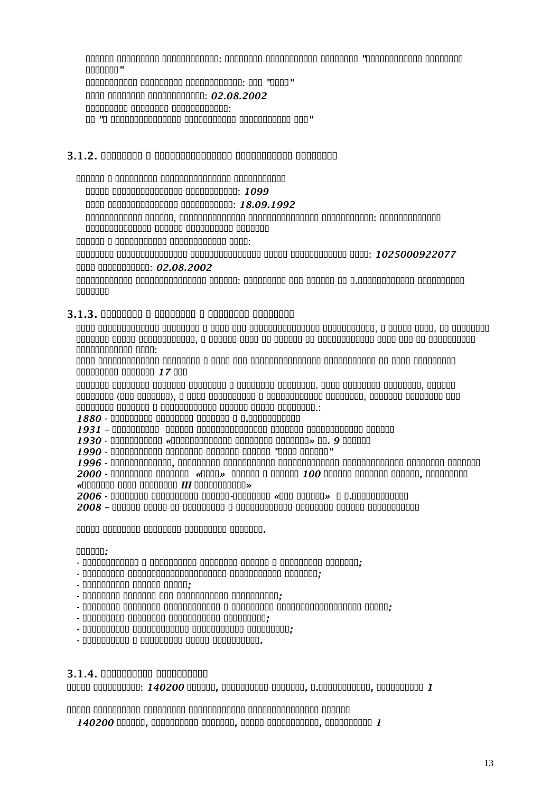: *" "* : *""* : *02.08.2002* **Service Control of the Control of the Control of the Control of the Control of the Control of the Control of the Control of the Control of the Control of the Control of the Control of the Control of the Control of the Con**  *"*  $\blacksquare$  "

#### **3.1.2.**

### : *1099* : *18.09.1992*

 , : the contract of the contract of the contract of : *1025000922077* : *02.08.2002*

: *.* 

### **3.1.3.**





#### **3.1.4.**

: *140200 , , ., 1*

*140200 , , , 1*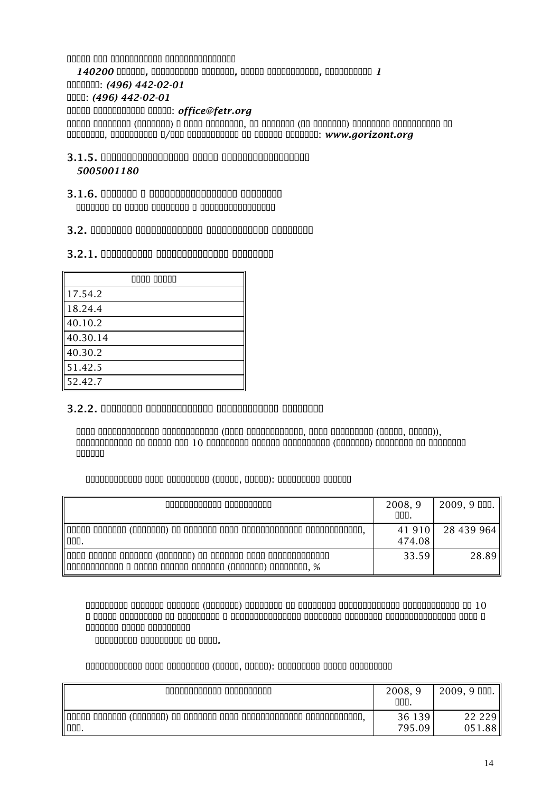| <i>140200</i>     |                   |                     |  |                    |  |
|-------------------|-------------------|---------------------|--|--------------------|--|
|                   | $(496)$ 442-02-01 |                     |  |                    |  |
| $(496)$ 442-02-01 |                   |                     |  |                    |  |
|                   |                   | $:$ office@fetr.org |  |                    |  |
|                   |                   |                     |  |                    |  |
|                   |                   |                     |  | : www.gorizont.org |  |
|                   |                   |                     |  |                    |  |

# **3.1.5.**

*5005001180*

- **3.1.6.**
- **3.2.**

## **3.2.1.**

| 17.54.2  |
|----------|
| 18.24.4  |
| 40.10.2  |
| 40.30.14 |
| 40.30.2  |
| 51.42.5  |
| 52.42.7  |

 *.*

### **3.2.2.**



 $($ ,  $)$ :

|  |  |  |     | 2008, 9 | 2009, 9    |
|--|--|--|-----|---------|------------|
|  |  |  |     |         |            |
|  |  |  |     | 41 910  | 28 439 964 |
|  |  |  |     | 474.08  |            |
|  |  |  |     | 33.59   | 28.89      |
|  |  |  | , % |         |            |

 $($  and  $)$  and  $($  10

 $($ ,  $)$ :

| 2008, 9 | 2009, 9 |
|---------|---------|
|         |         |
| 36 139  | 22 229  |
| 795.09  | 051.88  |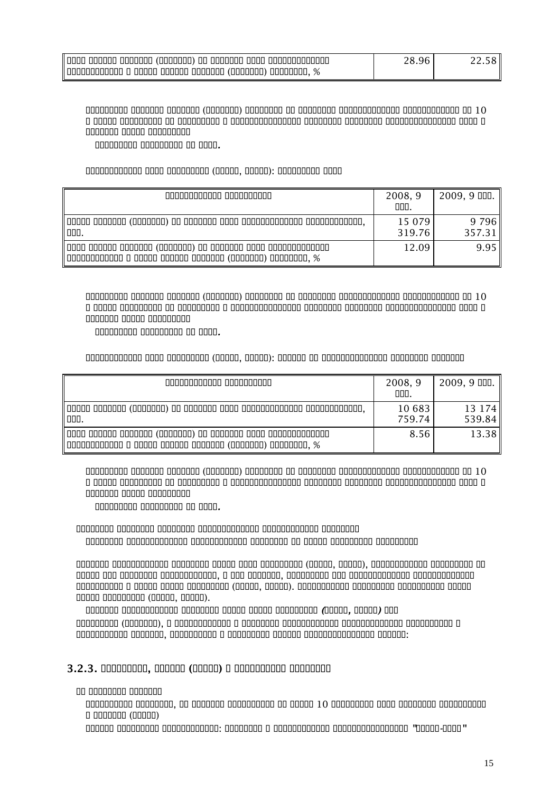|  |  |                        | 28.96 | $\Gamma$ O<br>$\Omega$<br>22.JO |
|--|--|------------------------|-------|---------------------------------|
|  |  | $\Omega$<br>$\sqrt{0}$ |       |                                 |
|  |  |                        |       |                                 |

$$
\begin{pmatrix} 1 & 0 & 0 \\ 0 & 0 & 0 \\ 0 & 0 & 0 \\ 0 & 0 & 0 \\ 0 & 0 & 0 \\ 0 & 0 & 0 \\ 0 & 0 & 0 \\ 0 & 0 & 0 \\ 0 & 0 & 0 & 0 \\ 0 & 0 & 0 & 0 \\ 0 & 0 & 0 & 0 \\ 0 & 0 & 0 & 0 & 0 \\ 0 & 0 & 0 & 0 & 0 \\ 0 & 0 & 0 & 0 & 0 \\ 0 & 0 & 0 & 0 & 0 & 0 \\ 0 & 0 & 0 & 0 & 0 & 0 \\ 0 & 0 & 0 & 0 & 0 & 0 \\ 0 & 0 & 0 & 0 & 0 & 0 \\ 0 & 0 & 0 & 0 & 0 & 0 & 0 \\ 0 & 0 & 0 & 0 & 0 & 0 & 0 \\ 0 & 0 & 0 & 0 & 0 & 0 & 0 \\ 0 & 0 & 0 & 0 & 0 & 0 & 0 \\ 0 & 0 & 0 & 0 & 0 & 0 & 0 & 0 \\ 0 & 0 & 0 & 0 & 0 & 0 & 0 & 0 \\ 0 & 0 & 0 & 0 & 0 & 0 & 0 & 0 \\ 0 & 0 & 0 & 0 & 0 & 0 & 0 & 0 \\ 0 & 0 & 0 & 0 & 0 & 0 & 0 & 0 \\ 0 & 0 & 0 & 0 & 0 & 0 & 0 & 0 \\ 0 & 0 & 0 & 0 & 0 & 0 & 0 & 0 \\ 0 & 0 & 0 & 0 & 0 & 0 & 0 & 0 \\ 0 & 0 & 0 & 0 & 0 & 0 & 0 & 0 \\ 0 & 0 & 0 & 0 & 0 & 0 & 0 & 0 \\ 0 & 0 & 0 & 0 & 0 & 0 & 0 & 0 \\ 0 & 0 & 0 & 0 & 0 & 0 & 0 & 0 \\ 0 & 0 & 0 & 0 & 0 & 0 & 0 & 0 \\ 0 & 0 & 0 & 0 & 0 & 0 & 0 & 0 \\ 0 & 0 & 0 & 0 & 0 & 0 & 0 & 0 \\ 0 & 0 & 0 & 0 & 0 & 0 & 0 & 0 \\ 0 & 0 & 0 & 0 & 0 & 0 & 0 & 0 \\ 0 & 0 & 0 & 0 & 0 & 0 & 0 & 0 \\ 0 & 0 & 0 & 0 &
$$

(, ):

 *.*

|  |  |  |     | 2008, 9 | 2009, 9 |
|--|--|--|-----|---------|---------|
|  |  |  |     |         |         |
|  |  |  |     | 15 0 79 | 9796    |
|  |  |  |     | 319.76  | 357.31  |
|  |  |  |     | 12.09   | 9.95    |
|  |  |  | , % |         |         |

$$
\begin{array}{cc} & 10 \end{array}
$$

 *.* (, ):

|  |  |  |     | 2008, 9 | 2009, 9<br>$\bullet$ . |
|--|--|--|-----|---------|------------------------|
|  |  |  |     |         |                        |
|  |  |  |     | 10 683  | 13 174                 |
|  |  |  |     | 759.74  | 539.84                 |
|  |  |  |     | 8.56    | 13.38                  |
|  |  |  | , % |         |                        |

 $($  and  $)$  and  $($  and  $)$  and  $($  and  $)$  and  $($  and  $)$  and  $($  and  $)$  and  $($  and  $)$  and  $($  and  $)$  and  $($  and  $)$  and  $($  and  $)$  and  $($  and  $)$  and  $($  and  $)$  and  $($  and  $)$  and  $($  and  $)$  and  $($  and  $)$  a



**3.2.3.** , ( )

 *.*

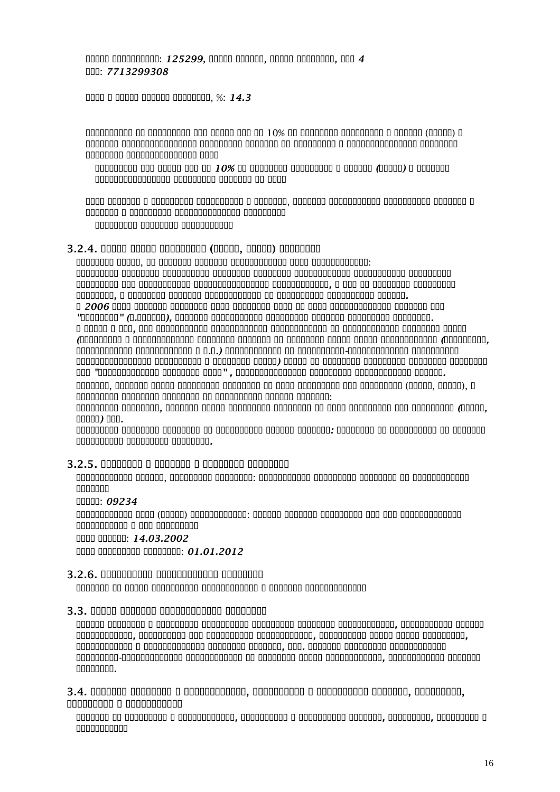### : *125299, , , 4* : *7713299308*

, %: *14.3*



**3.2.4.** (, ) , the contract of the contract of the contract of the contract of the contract of the contract of the contract of the contract of the contract of the contract of the contract of the contract of the contract of the contrac



 $($   $)$   $:$ 

 *<i>, , , , , .* 

*- ,* 

 *, , ,* 

## **3.2.5.**

 , : : *09234*

> : *14.03.2002* : *01.01.2012*

## **3.2.6.**

**3.3.** 

**3.4. , , ,** 

*.*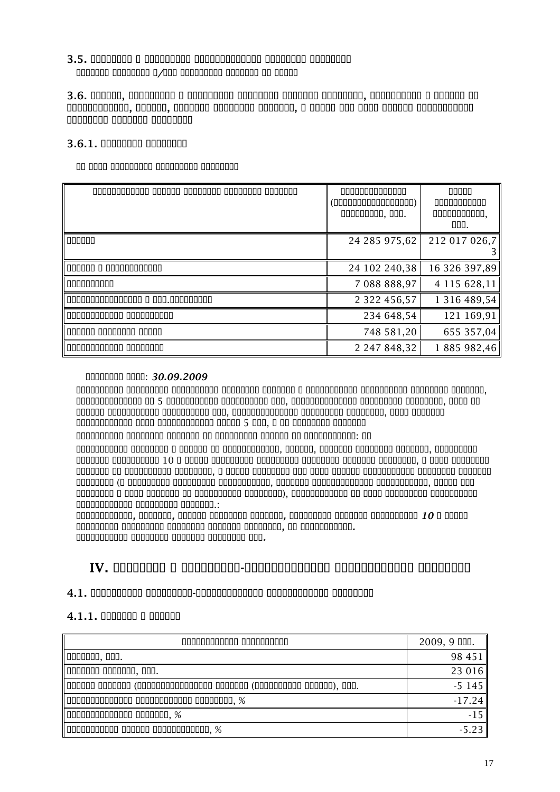**3.5.** 

 */* 

**3.6. , ,** 



| $\overline{\phantom{a}}$ |               |
|--------------------------|---------------|
| 24 285 975,62            | 212 017 026,7 |
| 24 102 240,38            | 16 326 397,89 |
| 7 088 888,97             | 4 115 628,11  |
| 2 322 456,57             | 1 316 489,54  |
| 234 648,54               | 121 169,91    |
| 748 581,20               | 655 357,04    |
| 2 247 848,32             | 1885982,46    |

 $\mathbf{y} = \mathbf{y}$ ,  $\mathbf{y} = \mathbf{y}$ ,  $\mathbf{y} = \mathbf{y}$ ,  $\mathbf{y} = \mathbf{y}$ ,  $\mathbf{y} = \mathbf{y}$ ,  $\mathbf{y} = \mathbf{y}$ ,  $\mathbf{y} = \mathbf{y}$ ,  $\mathbf{y} = \mathbf{y}$ ,  $\mathbf{y} = \mathbf{y}$ ,  $\mathbf{y} = \mathbf{y}$ ,  $\mathbf{y} = \mathbf{y}$ ,  $\mathbf{y} = \mathbf{y}$ ,  $\mathbf{y} = \mathbf{y}$ ,

: *30.09.2009*



### **IV.**  $\qquad \qquad$

**4.1.**  $\qquad \qquad$ 

**4.1.1.** 

|                |   | 2009, 9  |
|----------------|---|----------|
| $\blacksquare$ |   | 98 451   |
| $\blacksquare$ |   | 23 016   |
|                |   | $-5$ 145 |
|                | % | $-17.24$ |
| %              |   | $-15$    |
|                | % | $-5.23$  |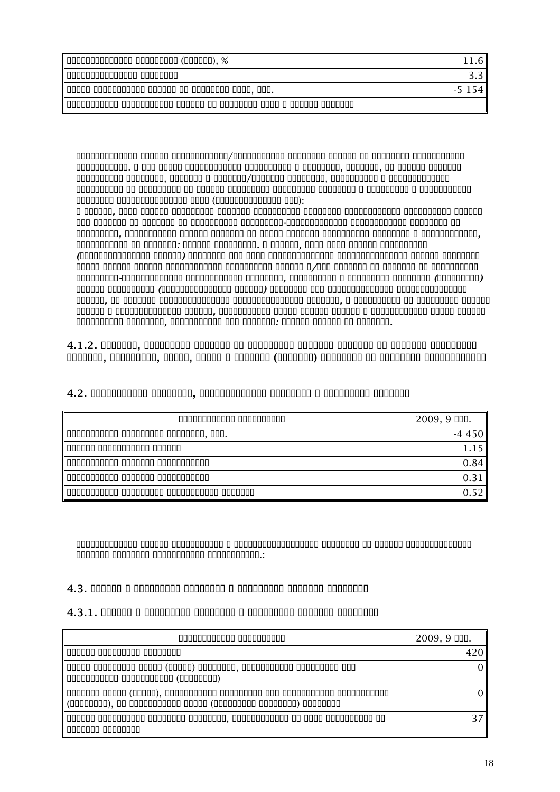| ), % | 11.6     |
|------|----------|
|      | 3.3      |
|      | $-5$ 154 |
|      |          |



#### **4.2. ,**

|                | 2009, 9 |
|----------------|---------|
| $\blacksquare$ | $-4450$ |
|                | 1.15    |
|                | 0.84    |
|                | 0.31    |
|                | 0.52    |

.:

#### **4.3.**

## **4.3.1.**

| 2009, 9 |     |
|---------|-----|
|         | 420 |
|         |     |
|         |     |
|         | ⌒   |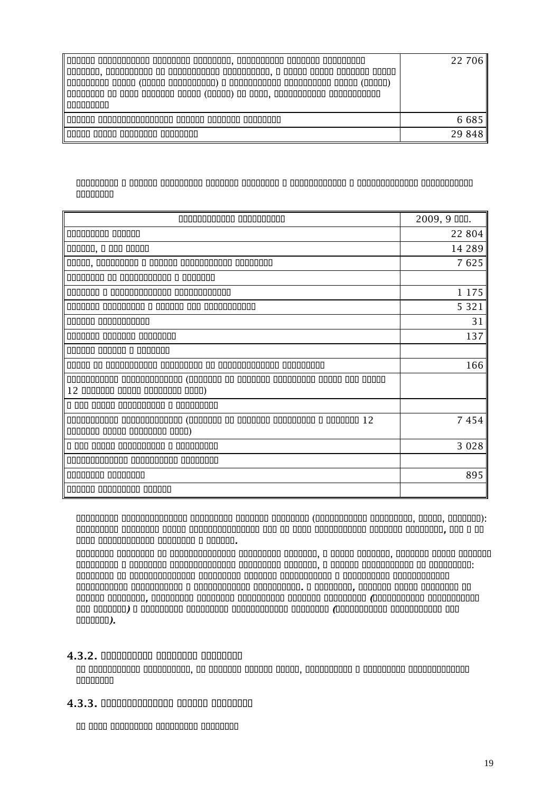|  |  | 22 706 |
|--|--|--------|
|  |  | 6685   |
|  |  | 29 848 |

|                      | 2009, 9  |
|----------------------|----------|
|                      | 22 804   |
| $\,$                 | 14 289   |
| $\pmb{\mathfrak{z}}$ | 7625     |
|                      |          |
|                      | $1\;175$ |
|                      | 5 3 2 1  |
|                      | 31       |
|                      | 137      |
|                      |          |
|                      | 166      |
| 12                   |          |
|                      |          |
| $12\,$               | 7454     |
|                      | 3 0 2 8  |
|                      |          |
|                      | 895      |
|                      |          |

, the same state  $\mathbf{r}$  , the same state  $\mathbf{r}$ 

 $($ , , , ):  *<i><b>* 

 , , , the contract of the contract of the contract of the contract of the contract of the contract of the contract of the contract of the contract of the contract of the contract of the contract of the contract of the contrac  *. , , ( ) (* 

*).*

 *.*

**4.3.2.** 

**4.3.3.**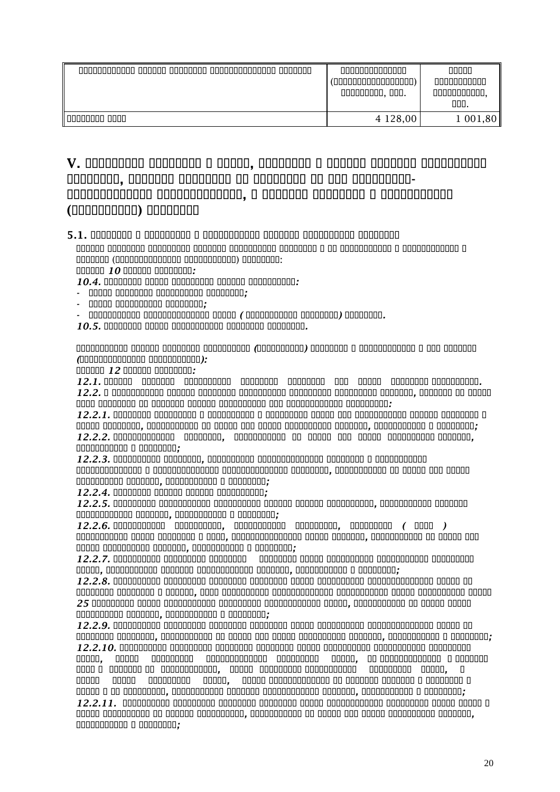| $\blacksquare$ |         |
|----------------|---------|
| 4 128,00       | 1001,80 |

 $\overline{\phantom{a}}$ 

 $V_{\cdot}$ 

 $\overline{\phantom{a}}$  $\overline{(\ }$  $\lambda$  $5.1.$  $\overline{(\ }$  $\mathcal{L}$  $\sim$  :  $10$  $\mathcal{I}$ 10.4.  $\mathbf{r}$  $\frac{1}{2}$  $\cdot$  $\ddot{.}$  $\lambda$  $\overline{(\}$  $\overline{a}$  $10.5.$  $\overline{\phantom{a}}$  $\overline{(\ }$  $\frac{\partial}{\partial t}$  $\begin{array}{cc} \left( \end{array} \right)$  12  $12.1.$  $\frac{1}{12.2}$  $\mathbf{r}$  $12.2.1.$  $\cdot$  $\pmb{\cdot}$ 12.2.2.  $\cdot$  $12.2.3.$  $\frac{1}{2}$ 12.2.4.  $12.2.5.$  $\cdot$  $12.2.6.$  $\overline{\phantom{a}}$  $\overline{(\ }$  $\cdot$ 12.2.7.  $\cdot$  $12.2.8.$  $25$  $\cdot$ 12.2.9.  $\cdot$  $\overline{\phantom{a}}$  $12.2.10.$  $\mathcal{L}(\mathcal{A})$ 

 $\cdot$ 

 $\cdot$ 

12.2.11.

 $\cdot$ 

 $\overline{ }$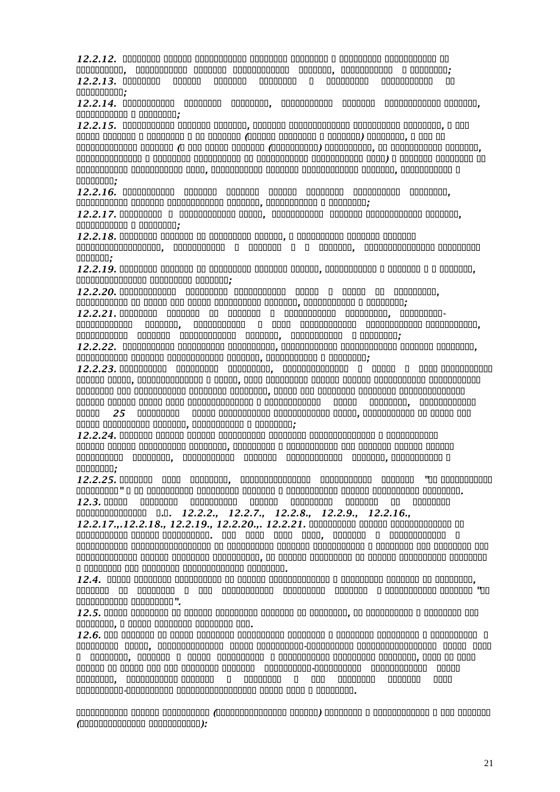| 12.2.12.                 |                          |                                                   |           |                                                   |                      |
|--------------------------|--------------------------|---------------------------------------------------|-----------|---------------------------------------------------|----------------------|
| ,<br>12.2.13.            |                          |                                                   | $\pmb{J}$ |                                                   | $\boldsymbol{\cdot}$ |
| $\pmb{J}$<br>12.2.14.    |                          | $\pmb{\jmath}$                                    |           |                                                   |                      |
| 12.2.15.                 | $\cdot$                  | $\frac{1}{2}$                                     |           |                                                   | ,                    |
|                          | $\overline{\mathcal{L}}$ | (                                                 | $\lambda$ | $\lambda$<br>$\pmb{\mathcal{I}}$<br>$\pmb{\cdot}$ |                      |
|                          | ,                        |                                                   |           | ,                                                 |                      |
| 12.2.16.                 |                          |                                                   |           |                                                   | $\pmb{\jmath}$       |
| 12.2.17.                 |                          | ,                                                 |           |                                                   | ,                    |
| 12.2.18.                 |                          | $\pmb{\jmath}$                                    |           |                                                   |                      |
| $\mathbf{r}$<br>12.2.19. | $\pmb{\cdot}$            |                                                   | ,         | ,                                                 |                      |
| 12.2.20.                 |                          | ;                                                 |           |                                                   | ,                    |
| 12.2.21.                 |                          |                                                   | ,         | $\cdot$<br>,                                      |                      |
| 12.2.22.                 | ,                        | $\pmb{\cdot}$                                     |           | ;                                                 |                      |
| 12.2.23.                 |                          | ,<br>J                                            |           | ;                                                 |                      |
| $\pmb{\jmath}$           |                          | $\pmb{\jmath}$<br>,                               |           |                                                   |                      |
| ${\bf 25}$               |                          |                                                   |           | ,<br>,                                            |                      |
| 12.2.24.                 | ,                        | ;                                                 |           |                                                   |                      |
| $\mathbf{r}$             | $\pmb{\jmath}$           | $\pmb{\jmath}$                                    |           | ,                                                 |                      |
| ,<br>12.2.25.<br>π       |                          | ,                                                 |           |                                                   | $\pmb{\mathsf{H}}$   |
| 12.3.                    |                          | 12.2.2., 12.2.7., 12.2.8., 12.2.9., 12.2.16.,     |           |                                                   |                      |
|                          |                          | 12.2.17.,.12.2.18., 12.2.19., 12.2.20.,. 12.2.21. |           |                                                   |                      |
|                          |                          |                                                   | ,         |                                                   |                      |
| 12.4.                    |                          | ,                                                 |           |                                                   | $\prime_n$           |
| 12.5.                    | Ч.                       |                                                   |           | $\pmb{J}$                                         |                      |
| ,<br>12.6.               |                          | $\blacksquare$                                    |           |                                                   |                      |

 *, - , , - ,* 

 *( )* 

*- .* 

*( ):*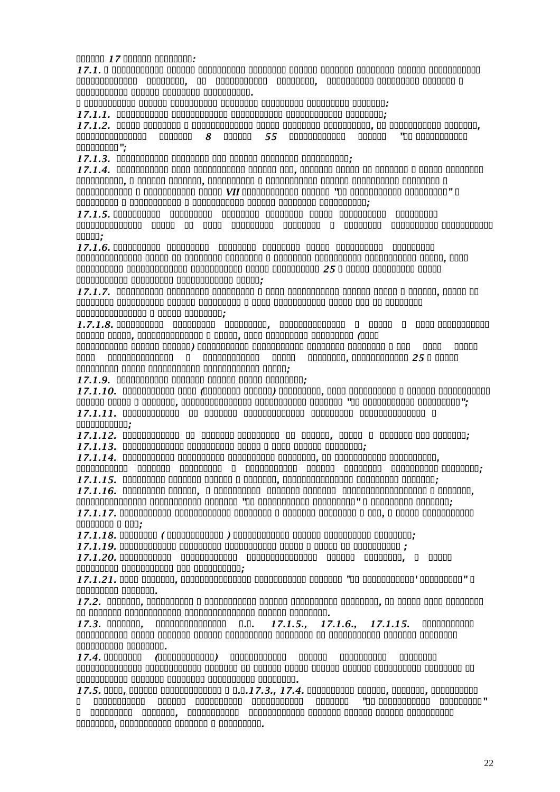| 17<br>17.1.                                 |                                                                                                         | $\overline{\phantom{a}}$<br>$\pmb{\cdot}$ |                           | $\pmb{\jmath}$                                                                                                           |                      |                    |
|---------------------------------------------|---------------------------------------------------------------------------------------------------------|-------------------------------------------|---------------------------|--------------------------------------------------------------------------------------------------------------------------|----------------------|--------------------|
| 17.1.1.<br>17.1.2.                          |                                                                                                         | $\pmb{8}$                                 | 55                        | ,                                                                                                                        | $\pmb{\mathsf{H}}$   | $\pmb{\cdot}$      |
| ";<br>17.1.3.<br>17.1.4.<br>$\pmb{\jmath}$  |                                                                                                         | $\pmb{\cdot}$                             | $\pmb{\mathcal{I}}$       | $\cdot$                                                                                                                  |                      |                    |
|                                             |                                                                                                         | VII                                       |                           | $\pmb{\mathsf{u}}$<br>$\rlap{.}^{\textbf{.}\textbf{\textit{.}}\textbf{\textit{.}}\textbf{\textit{.}}\textbf{\textit{.}}$ |                      | $\pmb{\mathsf{H}}$ |
| 17.1.5.                                     |                                                                                                         |                                           |                           |                                                                                                                          |                      |                    |
| 17.1.6.                                     |                                                                                                         |                                           |                           |                                                                                                                          |                      | ,                  |
|                                             |                                                                                                         |                                           | $\rlap{.}^{\text{.}}$     | 25                                                                                                                       |                      |                    |
| 17.1.7.                                     |                                                                                                         |                                           |                           |                                                                                                                          | $\pmb{\jmath}$       |                    |
| 1.7.1.8.<br>,                               |                                                                                                         | $\cdot$<br>$\pmb{\jmath}$                 | $\pmb{\jmath}$            | $\overline{(\ }$                                                                                                         |                      |                    |
|                                             |                                                                                                         | $\lambda$                                 |                           | $\pmb{\cdot}$                                                                                                            | 25                   |                    |
| 17.1.9.<br>17.1.10.                         |                                                                                                         | $\overline{\mathcal{L}}$                  | $\cdot$<br>;<br>$\lambda$ | $\pmb{\jmath}$<br>$\mathbf{u}$                                                                                           |                      |                    |
| 17.1.11.                                    | ,                                                                                                       |                                           |                           |                                                                                                                          |                      | ",                 |
| $\cdot$<br>17.1.12.<br>17.1.13.<br>17.1.14. |                                                                                                         |                                           |                           | ,<br>$\rlap{.}^{\texttt{.}\texttt{}}$<br>$\pmb{\cdot}$                                                                   | $\pmb{\jmath}$       | $\cdot$            |
| 17.1.15.<br>17.1.16.                        |                                                                                                         | $\pmb{J}$<br>$\mathbf{u}$                 | $\pmb{\jmath}$            | $\pmb{\mathsf{u}}$                                                                                                       | $\boldsymbol{\cdot}$ | ;<br>$\pmb{J}$     |
| 17.1.17.                                    |                                                                                                         |                                           |                           |                                                                                                                          | $\pmb{\jmath}$       | $\cdot$            |
| 17.1.18.<br>17.1.19.<br>17.1.20.            | $\rlap{.}^{\textbf{.}\textbf{\textit{.}}\textbf{\textit{.}}\textbf{\textit{.}}\textbf{\textit{.}}$<br>( | $\mathcal{L}$                             |                           |                                                                                                                          | ;<br>$\mathbf{z}$    |                    |
| 17.1.21.                                    | ,                                                                                                       | $\cdot$                                   |                           | $\mathbf{u}$                                                                                                             | $\pmb{\mathsf{r}}$   | $\pmb{\mathsf{u}}$ |
| 17.2.                                       | $\pmb{\jmath}$                                                                                          |                                           |                           | $\pmb{\cdot}$                                                                                                            |                      |                    |
| 17.3.                                       | ,                                                                                                       |                                           | . .                       | 17.1.5., 17.1.6.,                                                                                                        | 17.1.15.             |                    |
| 17.4.                                       | $\overline{\mathcal{L}}$                                                                                | $\big)$                                   |                           |                                                                                                                          |                      |                    |
| 17.5.<br>$\pmb{\cdot}$                      |                                                                                                         |                                           | .17.3.,17.4.              | $\mathbf{u}$                                                                                                             | $\pmb{\jmath}$<br>,  | $\mathbf{u}$       |

 $\cdot$ 

 $\overline{\phantom{a}}$ 

 $\bar{\pmb{J}}$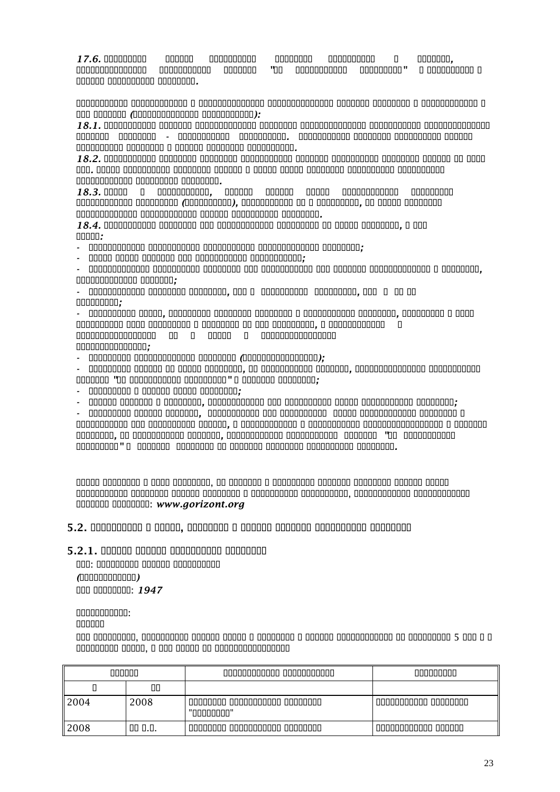*.* 



, where  $\mathcal{L}$ 

 *" "* 





**5.2.1.** 



| .              |  |
|----------------|--|
|                |  |
|                |  |
|                |  |
| $\blacksquare$ |  |
|                |  |
|                |  |
|                |  |
|                |  |
|                |  |
|                |  |

| 2004 | 2008 | $\mathbf{H}$<br>$\mathbf{u}$ |  |
|------|------|------------------------------|--|
| 2008 | . .  |                              |  |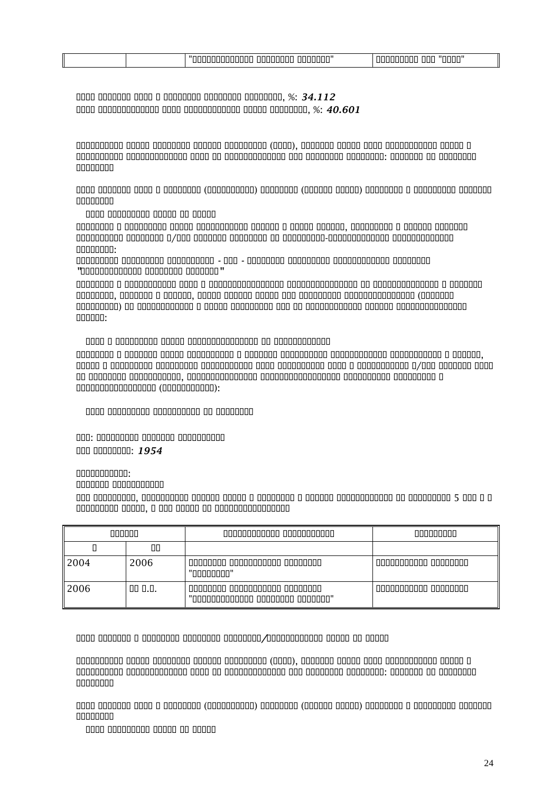



$$
(\hspace{7mm})\hspace{7mm}(\hspace{7mm})\hspace{7mm}
$$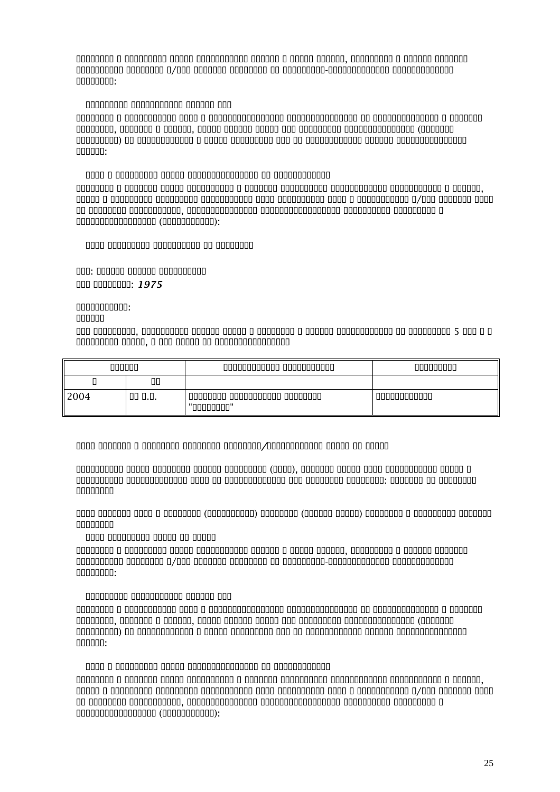



| 2004 | $\sim$ $\sim$ | $\mathbf{u}$<br>$\mathbf{u}$ |  |
|------|---------------|------------------------------|--|



 $\overline{a}$  ,  $\overline{a}$  $):$ 

 $25$ 

 $\overline{\phantom{0}}$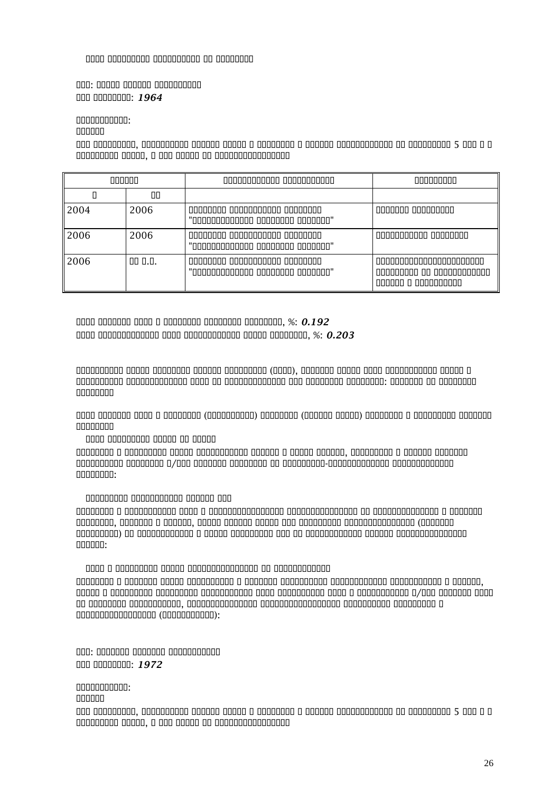: *1964*

:

: , the set of  $\sim$  5  $\sim$ ,

| 2004 | 2006          | $\mathbf{u}$ | $\mathbf{H}$ |  |
|------|---------------|--------------|--------------|--|
| 2006 | 2006          | $\mathbf{u}$ | $\mathbf{H}$ |  |
| 2006 | $\sim$ $\sim$ | $\mathbf{H}$ | $\mathbf{H}$ |  |











,

:

, the set of  $\sim$  5  $\sim$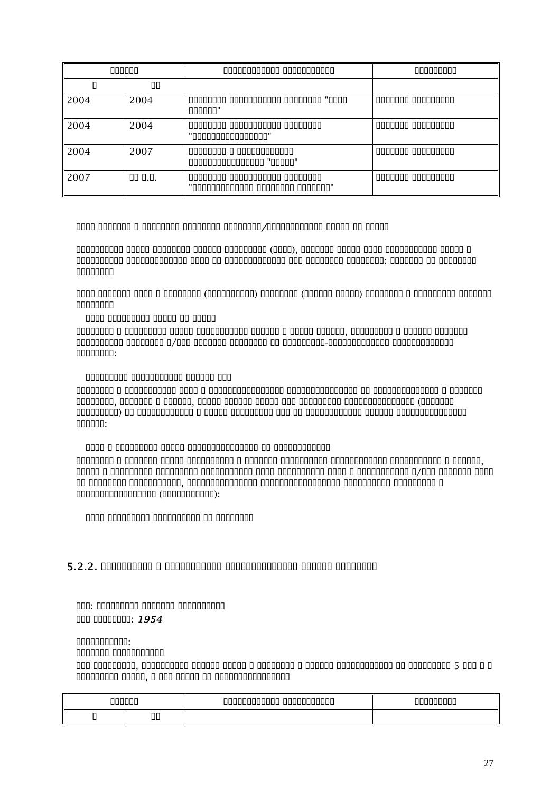| 2004 | 2004          | $\mathbf{H}$<br>$\mathbf{H}$ |
|------|---------------|------------------------------|
| 2004 | 2004          | $\mathbf{H}$<br>$\mathbf{H}$ |
| 2004 | 2007          | $\mathbf{H}$<br>$\mathbf{H}$ |
| 2007 | $\sim$ $\sim$ | $\mathbf{H}$<br>$\mathbf{H}$ |













| : 1954 |  |
|--------|--|
|        |  |
|        |  |

| the contract of the contract of the contract of the contract of the contract of the contract of the contract of |                                                                                                                       |  |
|-----------------------------------------------------------------------------------------------------------------|-----------------------------------------------------------------------------------------------------------------------|--|
|                                                                                                                 |                                                                                                                       |  |
|                                                                                                                 |                                                                                                                       |  |
|                                                                                                                 |                                                                                                                       |  |
|                                                                                                                 | <u>a sa salah sahiji désa di kacamatan Sababaratan Sababaratan Sababaratan Sababaratan Sababaratan Sababaratan Sa</u> |  |
|                                                                                                                 |                                                                                                                       |  |
|                                                                                                                 |                                                                                                                       |  |
|                                                                                                                 |                                                                                                                       |  |
|                                                                                                                 |                                                                                                                       |  |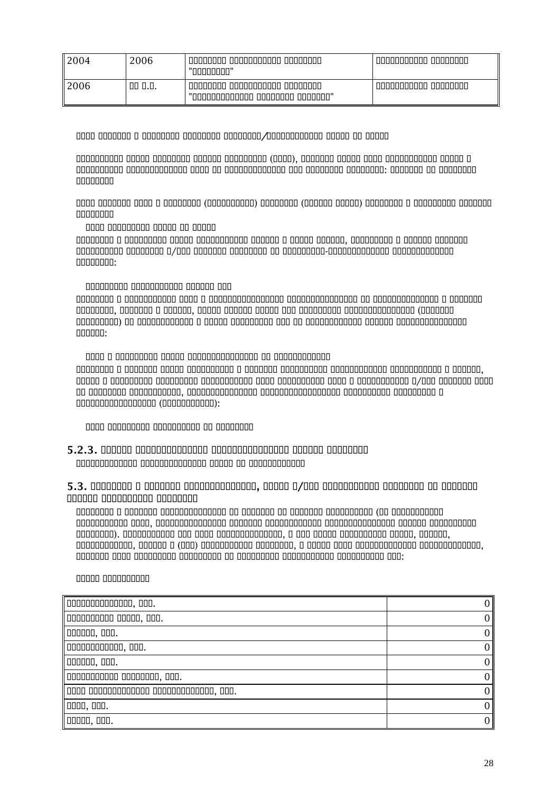| 2004 | 2006       | $\mathbf{H}$<br>- 11 |  |
|------|------------|----------------------|--|
| 2006 | $\sim 100$ | $\mathbf{u}$<br>- 11 |  |









## $5.2.3.$

 $5.3.$  $\frac{1}{2}$ ,  $\frac{1}{2}$  $\overline{(\ }$ 

|  |  |  | $\mathcal{L}(\mathcal{L})$ , and the contract of $\mathcal{L}(\mathcal{L})$ , and the contract of $\mathcal{L}(\mathcal{L})$ |  |  |  |                                   |  |  |
|--|--|--|------------------------------------------------------------------------------------------------------------------------------|--|--|--|-----------------------------------|--|--|
|  |  |  |                                                                                                                              |  |  |  | and the state of the state of the |  |  |
|  |  |  |                                                                                                                              |  |  |  |                                   |  |  |

| $\mathbf{r}$<br>л.                           |  |
|----------------------------------------------|--|
| $\mathbf{r}$                                 |  |
|                                              |  |
| $\overline{\phantom{a}}$<br>$\mathbf{r}$     |  |
| $\blacksquare$                               |  |
|                                              |  |
| $\sim$ 100 $\pm$<br>$\overline{\phantom{a}}$ |  |
| $\bullet$                                    |  |
|                                              |  |

 $\mathbf{r}$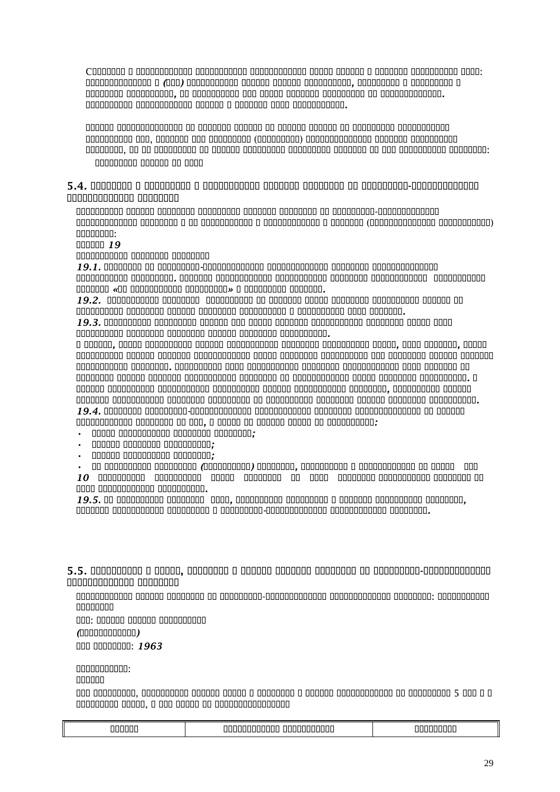$\mathsf{C}$  $\pm$  $( )$  $\cdot$ 

 $($ 

## $5.4.$

 $\overline{\phantom{a}}$  $\overline{(\ }$  $\frac{1}{19}$ 

19.1.  $\alpha$  $\boldsymbol{\mathcal{Y}}$  $19.2.$ 

19.3.  $\cdot$ 

 $\overline{\phantom{a}}$ 

 $\mathbb{R}^2$ 

## 19.4.

 $\ddot{\cdot}$  $\cdot$  $\ddot{\phantom{0}}$  $\overline{\phantom{a}}$  $\frac{1}{10}$  $\overline{(\ }$  $19.5.$  $\cdot$ 

## $5.5.$

 $\ddot{\cdot}$  $\sim$  $\overline{C}$ )<br>: 1963  $\frac{1}{2}$  $\overline{5}$  $\bar{\mathcal{E}}$  $\ddot{\phantom{0}}$ 

 $\frac{1}{2}$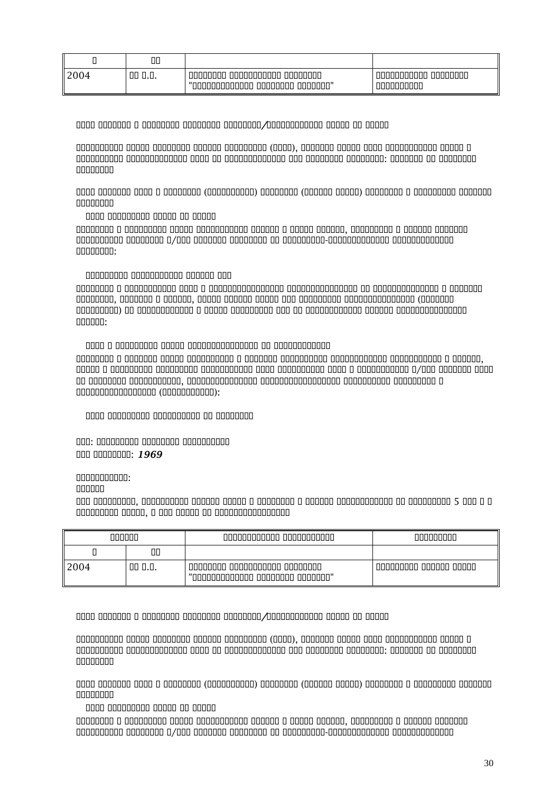| 2004 | $\sim$ |  |  |
|------|--------|--|--|



| 2004 | $\sim 100$ | $\mathbf{u}$ | $^{\prime\prime}$ |  |
|------|------------|--------------|-------------------|--|





$$
(\hspace{7mm})\hspace{7mm}(\hspace{7mm})\hspace{7mm}
$$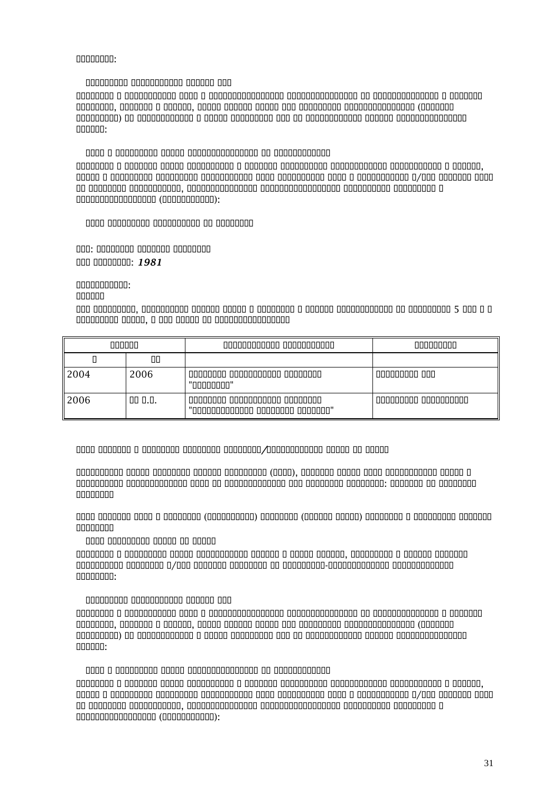



 $\cdot$  $\overline{\phantom{a}}$ 

 $\frac{1}{2}$ 



,

 $\overline{a}$ 

 $\overline{\mathcal{L}}$ 

| 2004 | 2006          | $\mathbf{u}$<br>$\mathbf{H}$ |  |
|------|---------------|------------------------------|--|
| 2006 | $\sim$ $\sim$ | п<br>$\mathbf{u}$            |  |







 $\overline{(\ }$  $^\prime)$  $\overline{\phantom{a}}$ 

 $\overline{a}$  ,  $\overline{a}$  $\overline{)$ :

 $31$ 

 $\overline{\phantom{a}}$ 

 $\overline{\phantom{a}}$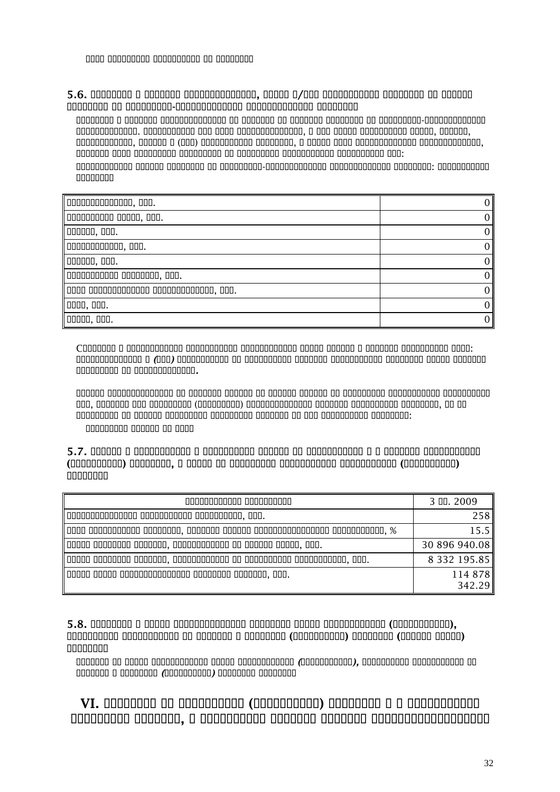$\mathbf{r} = \mathbf{r} \cdot \mathbf{r}$  , where  $\mathbf{r} = \mathbf{r} \cdot \mathbf{r}$  , where  $\mathbf{r} = \mathbf{r} \cdot \mathbf{r}$  , where  $\mathbf{r} = \mathbf{r} \cdot \mathbf{r}$ the contract of the contract of the contract of the contract of the contract of the contract of the contract o . The contract of the contract of the contract of the contract of the contract of the contract of the contract of the contract of the contract of the contract of the contract of the contract of the contract of the contrac , () , , the contract of the contract of the contract of the contract of the contract of the contract of the contract o

- :

| ٠                                  |          |
|------------------------------------|----------|
| $\overline{\phantom{a}}$<br>$\sim$ | $\Omega$ |
| ,<br>٠                             |          |
| л.                                 |          |
| ٠                                  |          |
| $\sim$                             |          |
| ٠                                  |          |
| $\blacksquare$                     |          |
|                                    |          |

 $\mathsf C$  is a set of  $\mathsf C$  is a set of  $\mathsf C$  is a set of  $\mathsf C$  is a set of  $\mathsf C$  is a set of  $\mathsf C$  is a set of  $\mathsf C$  is a set of  $\mathsf C$  is a set of  $\mathsf C$  is a set of  $\mathsf C$  is a set of  $\mathsf C$  is a set of  $\mathsf C$  is a  *() .* , the set of  $($   $)$  , the set of  $($   $)$ and the contract of the contract of the contract of the contract of the contract of the contract of the contract of

### **5.7. () , ()**

|                | .2009               |
|----------------|---------------------|
|                | 258                 |
| %              | 15.5                |
|                | 30 896 940.08       |
| $\blacksquare$ | 8 3 3 2 1 9 5 . 8 5 |
|                | 114 878<br>342.29   |

 $5.8.$  ( ),  $($  and  $($   $)$   $($   $)$  *(), ()* 

**VI. () ,**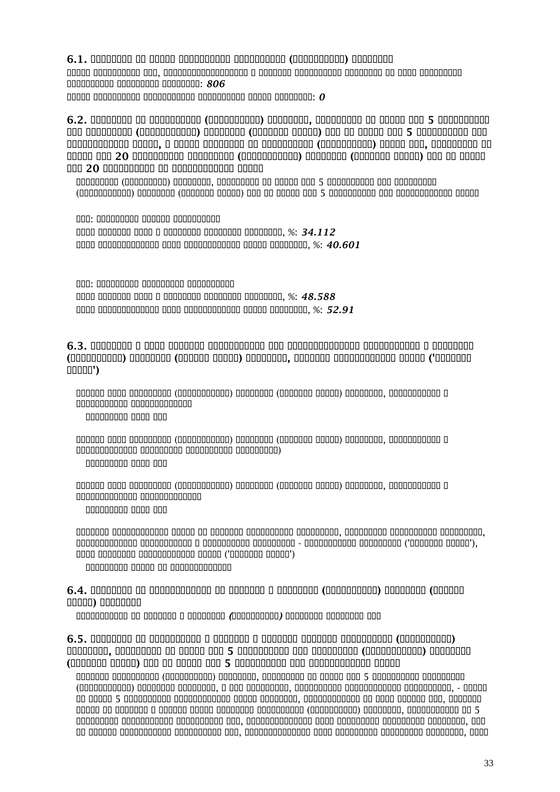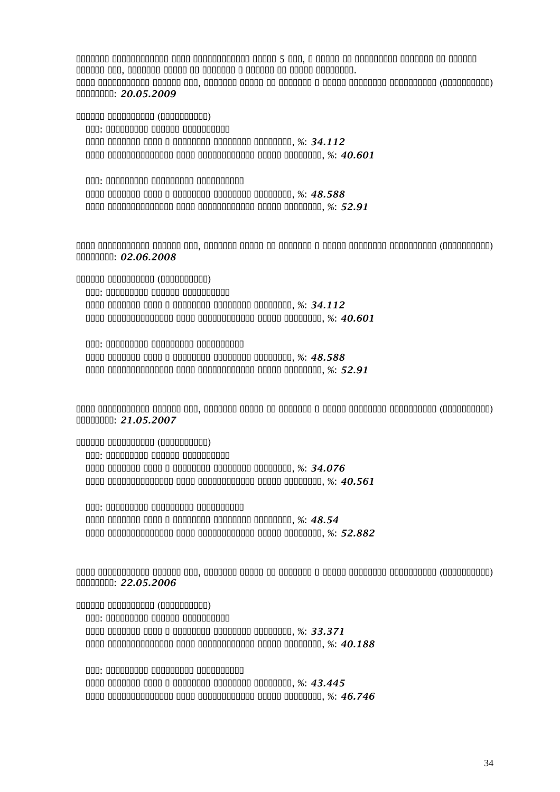5 ,

, the contract of  $\mathcal{L}$  and  $\mathcal{L}$  and  $\mathcal{L}$  and  $\mathcal{L}$  and  $\mathcal{L}$  and  $\mathcal{L}$  and  $\mathcal{L}$  and  $\mathcal{L}$  and  $\mathcal{L}$  and  $\mathcal{L}$  and  $\mathcal{L}$  and  $\mathcal{L}$  and  $\mathcal{L}$  and  $\mathcal{L}$  and  $\mathcal{L}$  and  $\mathcal{L}$ : *20.05.2009*

, where  $\mathbf{r}$  , we are the contract of  $\mathbf{r}$  , and  $\mathbf{r}$ 

 $($ :

:

: *02.06.2008*

 $($ :

:

: *21.05.2007*

 $($ :

:

: *22.05.2006*

 $($ :

:

 , %: *34.112* , %: *40.601*

 , %: *48.588* , %: *52.91*

, the contract of  $($ 

 , %: *34.112* , %: *40.601*

 , %: *48.588* , %: *52.91*

, the contract of  $\mathcal{L}$  and  $\mathcal{L}$  and  $\mathcal{L}$  and  $\mathcal{L}$  and  $\mathcal{L}$  and  $\mathcal{L}$  and  $\mathcal{L}$  and  $\mathcal{L}$  and  $\mathcal{L}$  and  $\mathcal{L}$  and  $\mathcal{L}$  and  $\mathcal{L}$  and  $\mathcal{L}$  and  $\mathcal{L}$  and  $\mathcal{L}$  and  $\mathcal{L}$ 

 , %: *34.076* , %: *40.561*

 , %: *48.54* , %: *52.882*

, the set of  $\left( \begin{array}{cc} 0 & 0 \end{array} \right)$ 

 , %: *33.371* , %: *40.188*

 , %: *43.445* , %: *46.746*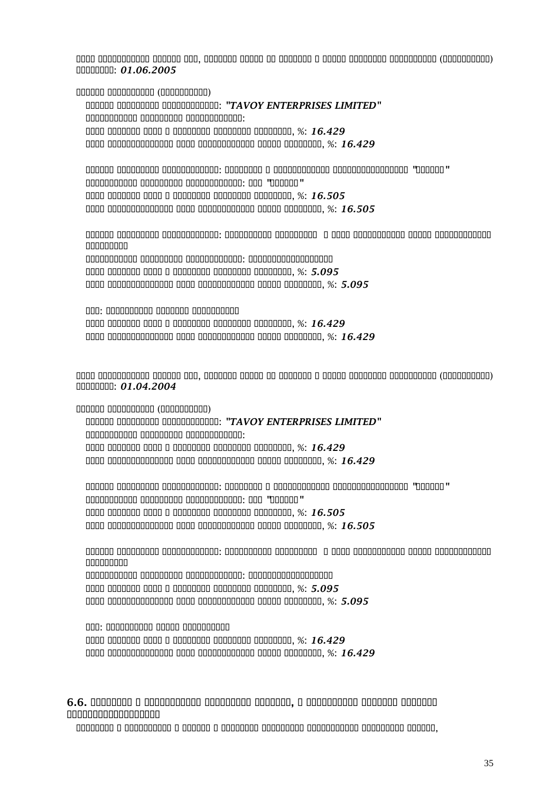

 , %: *16.429* , %: *16.429*

#### , the contract of  $\mathcal{L}$  and  $\mathcal{L}$  and  $\mathcal{L}$  and  $\mathcal{L}$  and  $\mathcal{L}$  and  $\mathcal{L}$  and  $\mathcal{L}$  and  $\mathcal{L}$  and  $\mathcal{L}$  and  $\mathcal{L}$  and  $\mathcal{L}$  and  $\mathcal{L}$  and  $\mathcal{L}$  and  $\mathcal{L}$  and  $\mathcal{L}$  and  $\mathcal{L}$ : *01.04.2004*

 $($   $)$ 

**Service State State State State** 

: *"TAVOY ENTERPRISES LIMITED"*

 , %: *16.429* , %: *16.429*

 : *""* : *""* , %: *16.505* , %: *16.505*

 : :

> , %: *5.095* , %: *5.095*

 , %: *16.429* , %: *16.429*

,

: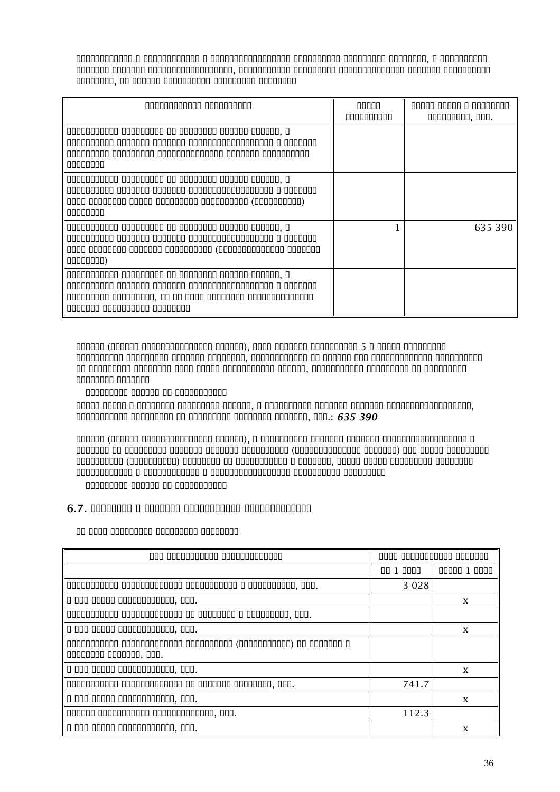$\, ,$ 

|  |  | 635 390 |
|--|--|---------|
|  |  |         |
|  |  |         |
|  |  |         |
|  |  |         |





 $6.7.$ 

|                                        | $\mathbf{1}$ | 1           |
|----------------------------------------|--------------|-------------|
| $\overline{ }$<br>$\blacksquare$       | 3 0 2 8      |             |
| $\mathbf{y}$ and $\mathbf{y}$          |              | $\mathbf X$ |
| $\sim 100$<br>$\bullet$                |              |             |
| $\sim 100$<br>$\overline{\phantom{a}}$ |              | $\mathbf X$ |
|                                        |              |             |
| $\sim$<br>$\overline{ }$               |              |             |
| $\sim 100$<br>$\overline{\phantom{a}}$ |              | $\mathbf X$ |
| $\overline{\phantom{a}}$<br>$\bullet$  | 741.7        |             |
| $\bullet$<br>$\overline{\phantom{a}}$  |              | $\mathbf X$ |
| $\bullet$<br>$\overline{\phantom{a}}$  | 112.3        |             |
| $\sim$<br>$\overline{\phantom{a}}$     |              | $\mathbf X$ |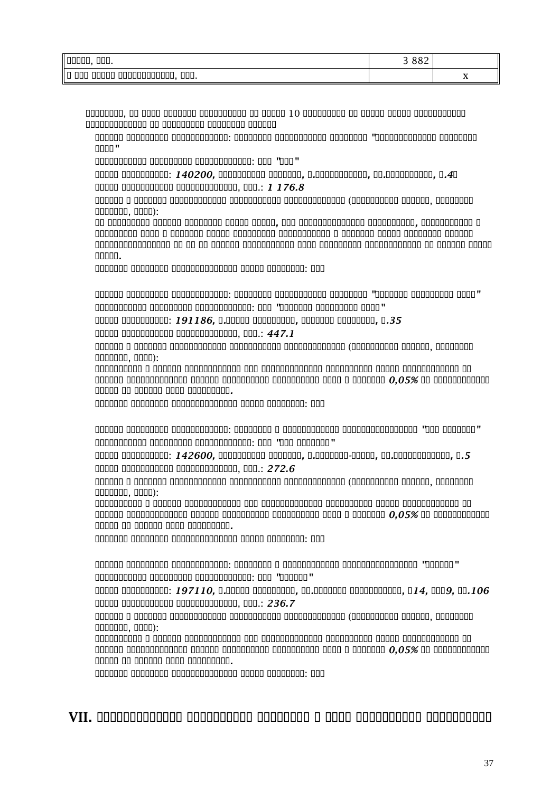| $3.88^\circ$<br>$\cup$ $\cup$ $\sim$ |     |
|--------------------------------------|-----|
|                                      | . . |

, the contract of  $\sim$  10

















 $\bm{0.05\%}$ 

**VII.** 

 *.*

:

*.*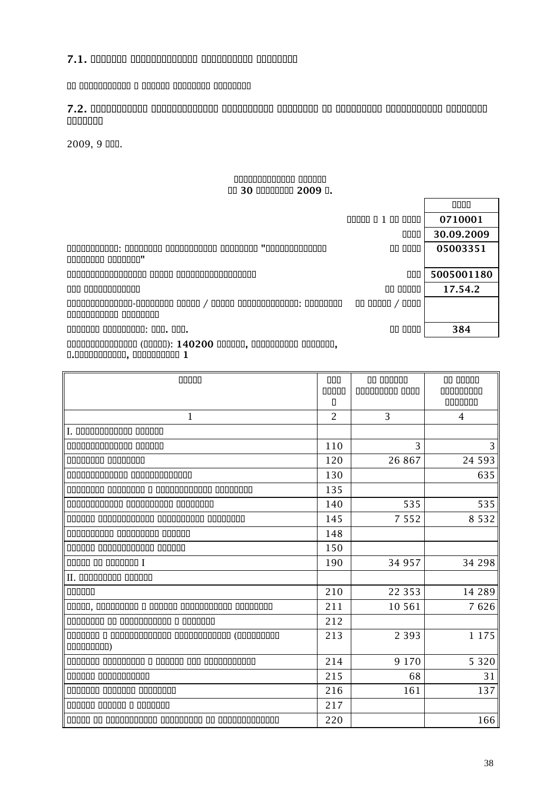$7.1.$ 

 $7.2.$ 

 $2009, 9$ 

 $\sim 10$ 



| $\mathbf{1}$            | $\overline{2}$ | $\overline{3}$ | $\overline{4}$ |
|-------------------------|----------------|----------------|----------------|
| $\overline{\text{I}}$ . |                |                |                |
|                         | 110            | 3              | Ε              |
|                         | 120            | 26 867         | 24 593         |
|                         | 130            |                | 635            |
|                         | 135            |                |                |
|                         | 140            | 535            | 535            |
|                         | 145            | 7 5 5 2        | 8 5 3 2        |
|                         | 148            |                |                |
|                         | 150            |                |                |
| $\bf I$                 | 190            | 34 957         | 34 298         |
| $\rm{II}.$              |                |                |                |
|                         | 210            | 22 3 5 3       | 14 289         |
| $\,$                    | 211            | 10 561         | 7 6 2 6        |
|                         | 212            |                |                |
| $\lambda$               | 213            | 2 3 9 3        | 1 1 7 5        |
|                         | 214            | $9\;170$       | 5 3 2 0        |
|                         | 215            | 68             | 31             |
|                         | 216            | 161            | 137            |
|                         | 217            |                |                |
|                         | 220            |                | 166            |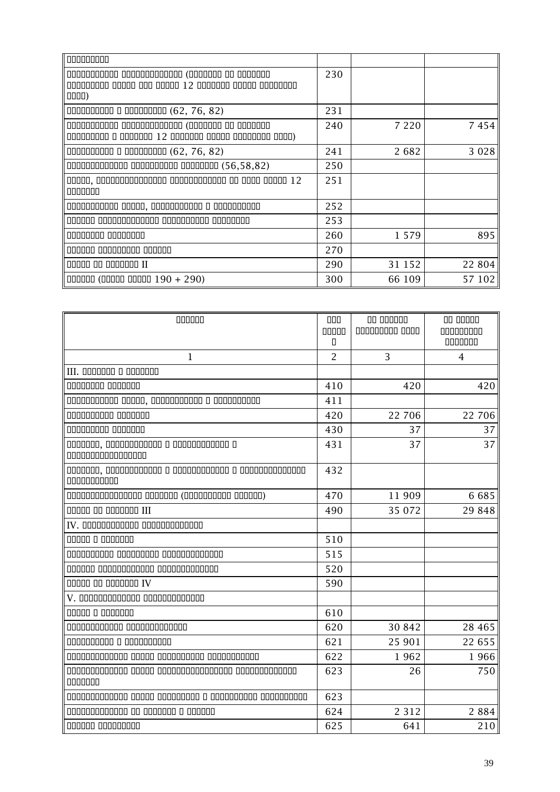|                            | 230 |         |         |
|----------------------------|-----|---------|---------|
| 12                         |     |         |         |
|                            |     |         |         |
| (62, 76, 82)               | 231 |         |         |
|                            | 240 | 7 2 2 0 | 7454    |
| 12                         |     |         |         |
| (62, 76, 82)               | 241 | 2 6 8 2 | 3 0 2 8 |
| (56, 58, 82)               | 250 |         |         |
| 12<br>$\pmb{\mathfrak{z}}$ | 251 |         |         |
|                            |     |         |         |
| $\,$                       | 252 |         |         |
|                            | 253 |         |         |
|                            | 260 | 1579    | 895     |
|                            | 270 |         |         |
| $\mathbf{I}$               | 290 | 31 152  | 22 804  |
| $190 + 290$                | 300 | 66 109  | 57 102  |

| $\mathbf{1}$                    | $\overline{2}$ | $\mathbf{3}$ | $\overline{4}$ |
|---------------------------------|----------------|--------------|----------------|
| $\rm III.$                      |                |              |                |
|                                 | 410            | 420          | 420            |
| $\pmb{\cdot}$                   | 411            |              |                |
|                                 | 420            | 22 706       | 22 706         |
|                                 | 430            | 37           | 37             |
| $\pmb{\cdot}$                   | 431            | 37           | 37             |
|                                 |                |              |                |
| $\,$                            | 432            |              |                |
| $\mathcal{E}$<br>$\overline{(}$ | 470            | 11 909       | 6 6 8 5        |
| $\rm III$                       | 490            | 35 072       | 29 848         |
| ${\rm IV}.$                     |                |              |                |
|                                 | 510            |              |                |
|                                 | 515            |              |                |
|                                 | 520            |              |                |
| ${\rm IV}$                      | 590            |              |                |
| ${\bf V}.$                      |                |              |                |
|                                 | 610            |              |                |
|                                 | 620            | 30 842       | 28 4 6 5       |
|                                 | 621            | 25 901       | 22 655         |
|                                 | 622            | 1962         | 1966           |
|                                 | 623            | 26           | 750            |
|                                 |                |              |                |
|                                 | 623            |              |                |
|                                 | 624            | 2 3 1 2      | 2 8 8 4        |
|                                 | 625            | 641          | 210            |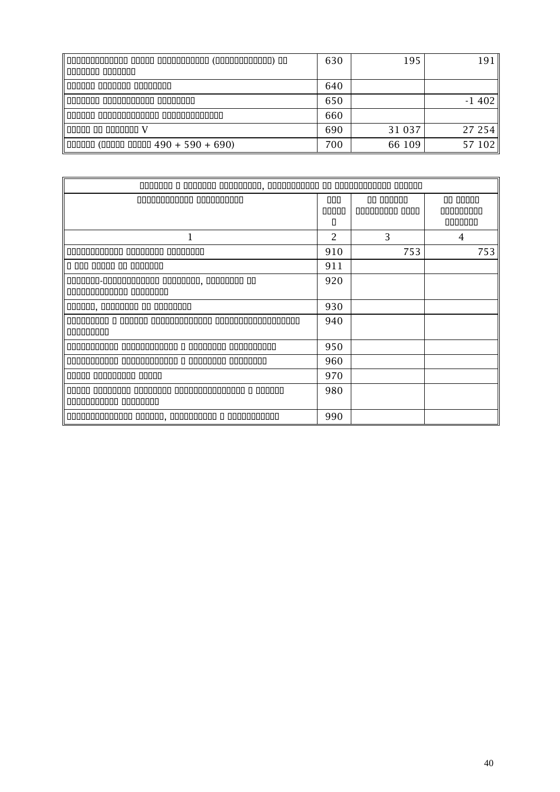|                   | 630 | 195    | 191     |
|-------------------|-----|--------|---------|
|                   |     |        |         |
|                   | 640 |        |         |
|                   | 650 |        | $-1402$ |
|                   | 660 |        |         |
|                   | 690 | 31 037 | 27 254  |
| $490 + 590 + 690$ | 700 | 66 109 | 57 102  |

| $\,$                   |                |                |                |
|------------------------|----------------|----------------|----------------|
|                        |                |                |                |
|                        |                |                |                |
|                        |                |                |                |
| $\mathbf 1$            | $\overline{2}$ | $\overline{3}$ | $\overline{4}$ |
|                        | 910            | 753            | 753            |
|                        | 911            |                |                |
| $\blacksquare$<br>$\,$ | 920            |                |                |
|                        |                |                |                |
| $\,$                   | 930            |                |                |
|                        | 940            |                |                |
|                        |                |                |                |
|                        | 950            |                |                |
|                        | 960            |                |                |
|                        | 970            |                |                |
|                        | 980            |                |                |
|                        |                |                |                |
| $\,$                   | 990            |                |                |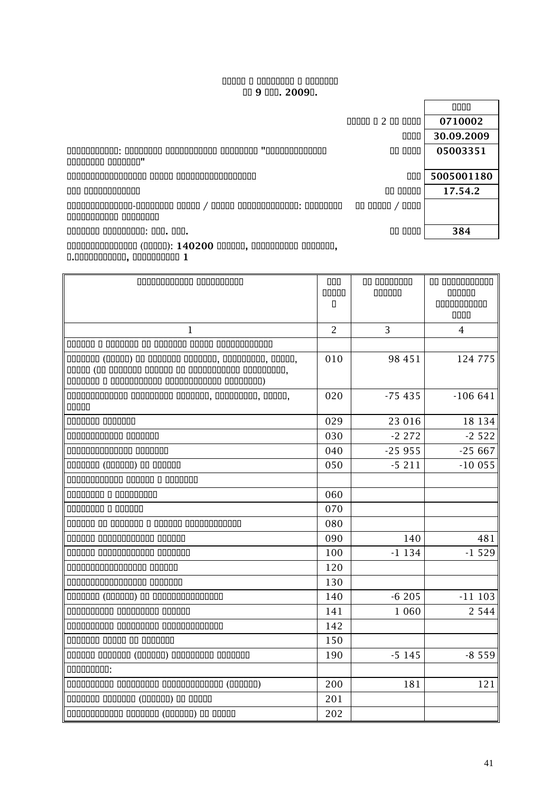

|                                    | $\overline{2}$      | 0710002    |
|------------------------------------|---------------------|------------|
|                                    |                     | 30.09.2009 |
| ٠<br>$\blacksquare$                | $\mathbf{u}$        | 05003351   |
| $\mathbf{u}$                       |                     |            |
|                                    |                     | 5005001180 |
|                                    |                     | 17.54.2    |
| $\blacksquare$                     | ٠<br>$\blacksquare$ |            |
|                                    |                     |            |
| ٠<br>٠<br>$\overline{\phantom{a}}$ |                     | 384        |



| $\mathbf 1$                                             | $\overline{2}$ | 3        | $\overline{4}$ |
|---------------------------------------------------------|----------------|----------|----------------|
|                                                         |                |          |                |
| $\overline{(\ }$<br>$\big)$<br>$\, ,$<br>$\, ,$<br>$\,$ | 010            | 98 451   | 124 775        |
| (<br>$\pmb{\mathfrak{z}}$                               |                |          |                |
|                                                         |                |          |                |
| $\,$<br>$\,$<br>$\pmb{\mathfrak{z}}$                    | 020            | $-75435$ | $-106641$      |
|                                                         | 029            | 23 016   | 18 134         |
|                                                         | 030            | $-2272$  | $-2522$        |
|                                                         | 040            | $-25955$ | $-25667$       |
| $\overline{(\ }$<br>$\mathcal{E}$                       | 050            | $-5211$  | $-10055$       |
|                                                         |                |          |                |
|                                                         | 060            |          |                |
|                                                         | 070            |          |                |
|                                                         | 080            |          |                |
|                                                         | 090            | 140      | 481            |
|                                                         | 100            | $-1134$  | $-1529$        |
|                                                         | 120            |          |                |
|                                                         | 130            |          |                |
| $\overline{(\ }$<br>$\mathcal{E}$                       | 140            | $-6205$  | $-11$ 103      |
|                                                         | 141            | 1 0 6 0  | 2 5 4 4        |
|                                                         | 142            |          |                |
|                                                         | 150            |          |                |
| $\overline{(}$<br>$\mathcal{E}$                         | 190            | $-5$ 145 | $-8559$        |
| $\ddot{\phantom{a}}$                                    |                |          |                |
| $\mathcal{L}$<br>$\overline{(}$                         | 200            | 181      | 121            |
|                                                         | 201            |          |                |
| $\mathcal{L}$<br>$\overline{(}$                         | 202            |          |                |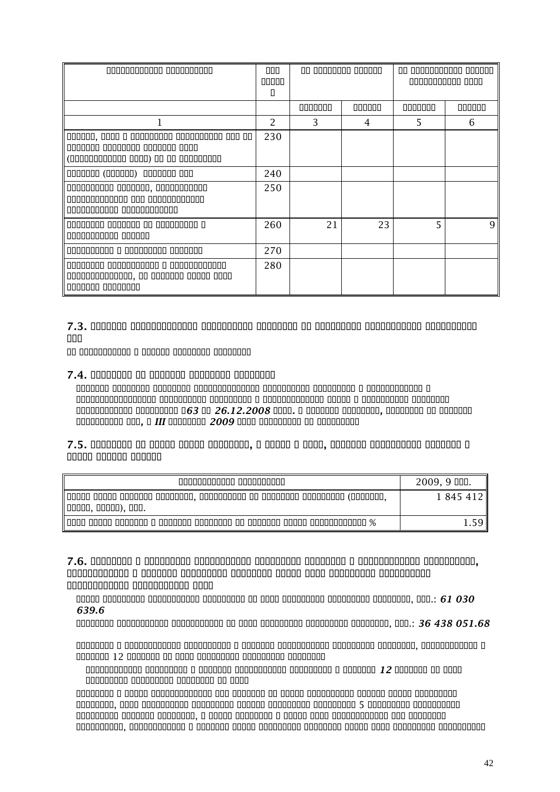| $\mathbf 1$              | $\overline{2}$ | $\mathbf{3}$ | $\overline{4}$ | 5 | $\,6\,$ |
|--------------------------|----------------|--------------|----------------|---|---------|
| $\,$                     | 230            |              |                |   |         |
| $\overline{\phantom{a}}$ |                |              |                |   |         |
|                          | 240            |              |                |   |         |
| $\,$                     | 250            |              |                |   |         |
|                          | 260            | 21           | 23             | 5 | 9       |
|                          | 270            |              |                |   |         |
| $\,$                     | 280            |              |                |   |         |

#### **7.3.**

### **7.4.**

#### *63 26.12.2008 . , , III 2009*

#### **7.5. , ,**

|                |  |   | 2009, 9   |
|----------------|--|---|-----------|
| $\blacksquare$ |  |   | 1 845 412 |
|                |  | % | 1.JJ      |

#### **7.6. ,**

| 639.6 | $\cdot$                  | $\therefore$ 61 030        |
|-------|--------------------------|----------------------------|
|       | $\overline{\phantom{a}}$ | $\therefore$ 36 438 051.68 |
| 12    | $\overline{\phantom{a}}$ |                            |
|       | 12                       |                            |
|       |                          |                            |

, the contract of the contract of the contract of the contract of the contract of the contract of the contract of the contract of the contract of the contract of the contract of the contract of the contract of the contrac

, the contract of  $\mathcal{L}$  , the contract of  $\mathcal{L}$  , the contract of  $\mathcal{L}$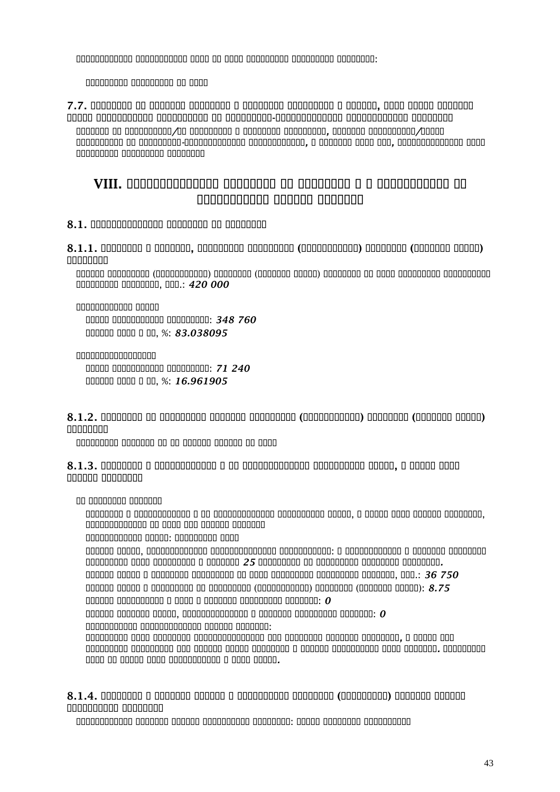## $7.7.$

 $\overline{a}$  $\frac{1}{2}$  $\overline{\phantom{a}}$  $\overline{ }$ 

 $\pm$ 

 $\overline{\phantom{a}}$ 

# VIII.

 $8.1.$ 

 $8.1.1.$  $\overline{a}$  $\overline{\phantom{a}}$  $\overline{(\ }$  $\overline{\phantom{a}}$  $\overline{\phantom{a}}$  $\begin{smallmatrix}&&&\&1&420&000\end{smallmatrix}$  $\overline{a}$  (  $\hspace{0.1cm}$  )  $\overline{(\ }$  $\ddot{\phantom{a}}$ 

> $: 348760$ , %: 83.038095

 $: 71240$ , %: 16.961905

 $\sim$  :

 $\overline{\phantom{a}}$ 

 $\overline{\phantom{a}}$ 

 $8.1.2.$  $\overline{(}$  $\overline{)}$  $\overline{C}$  $\lambda$ 

8.1.3.



 $\overline{(\ }$ 

 $\lambda$ 

j,

8.1.4.

 $\pm$ 

 $\, ,$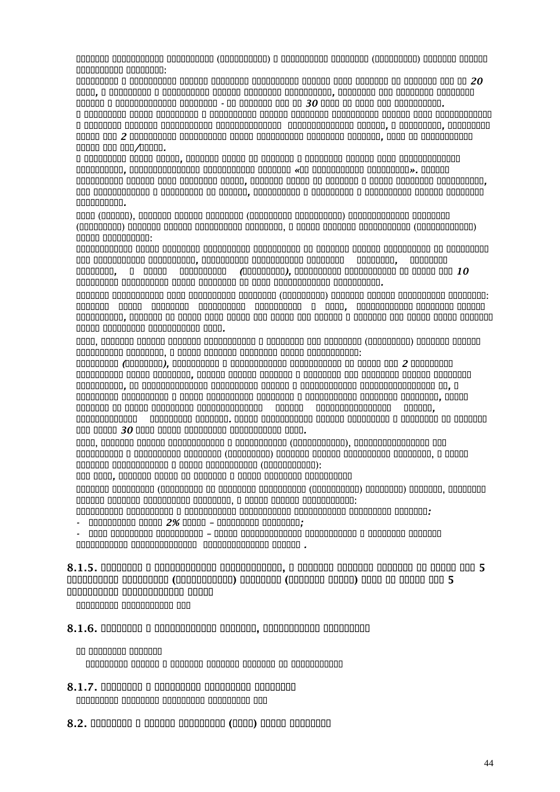

 $\overline{\phantom{a}}$ 

 $8.1.6.$ 

## $8.1.7.$

 $8.2.$  $\overline{(\ }$  $\overline{\phantom{a}}$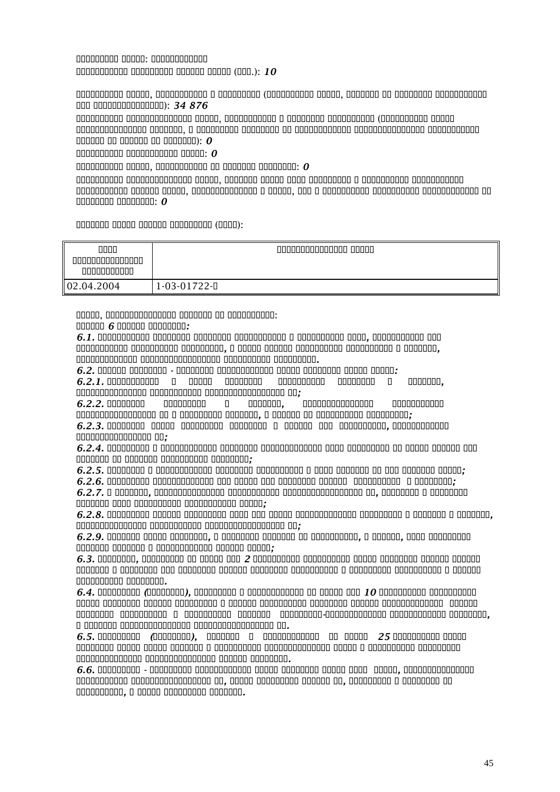

 $($   $)$ :

| 02.04.2004                        | $1 - 03 - 01722 -$                               |                      |
|-----------------------------------|--------------------------------------------------|----------------------|
|                                   |                                                  |                      |
| $\pmb{\cdot}$<br>$\boldsymbol{6}$ | $\ddot{\phantom{a}}$<br>$\overline{\phantom{a}}$ |                      |
| 6.1.                              |                                                  | $\pmb{\cdot}$        |
|                                   | $\pmb{\mathcal{I}}$                              | ,                    |
|                                   |                                                  | İ,                   |
| $6.2.$<br>$6.2.1.$                |                                                  | $\pmb{\cdot}$        |
| 6.2.2.                            | ;                                                |                      |
|                                   | $\pmb{\jmath}$<br>$\pmb{\jmath}$                 | $\rlap{.}^{\:\:}\,$  |
| 6.2.3.                            |                                                  | $\pmb{\cdot}$        |
| 6.2.4.                            | $\rlap{.}^{\text{.}}$                            |                      |
|                                   | $\cdot$                                          |                      |
| $6.2.5.$<br>$6.2.6.$              |                                                  | $\cdot$<br>$\dot{.}$ |
| 6.2.7.                            | ,                                                | $\pmb{\jmath}$       |
|                                   | $\cdot$                                          |                      |
| 6.2.8.                            | $\ddot{\phantom{0}}$                             | $\pmb{\cdot}$        |
| 6.2.9.                            | $\pmb{\mathcal{I}}$                              | $\pmb{\cdot}$<br>,   |
|                                   | ;<br>$\overline{c}$                              |                      |
| 6.3.<br>$\pmb{\cdot}$             |                                                  |                      |
|                                   |                                                  |                      |
| 6.4.<br>$\overline{(\ }$          | ),                                               | ${\bf 10}$           |
|                                   |                                                  | $\pmb{\cdot}$        |
|                                   |                                                  |                      |
| 6.5.                              | $\overline{\mathcal{L}}$<br>),                   | 25                   |
|                                   |                                                  |                      |
| 6.6.                              |                                                  | $\pmb{J}$            |

 *, ,* 

*, .*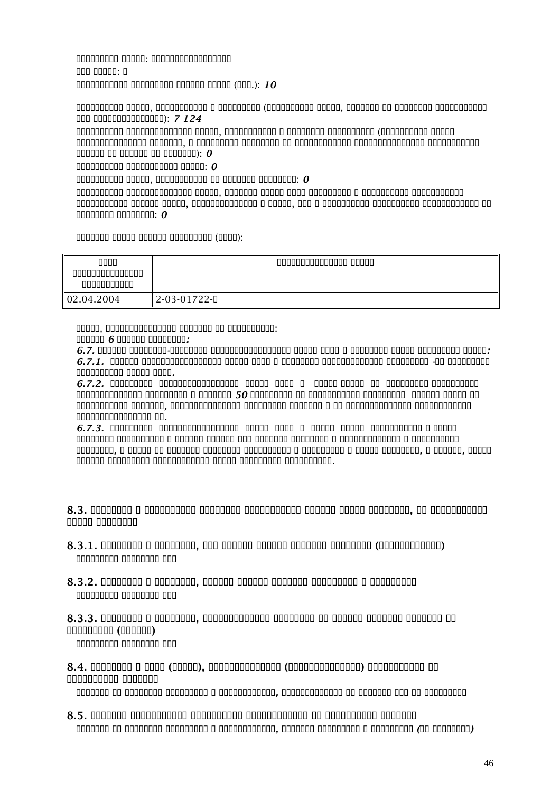

:

 $($   $)$ :

| 02.04.2004 | 2-03-01722- |
|------------|-------------|

| ,                  |                          |    | $\blacksquare$<br>$\blacksquare$ |                          |  |
|--------------------|--------------------------|----|----------------------------------|--------------------------|--|
| 6                  | $\overline{\phantom{a}}$ |    |                                  |                          |  |
|                    | $\,$                     |    |                                  |                          |  |
| $6.7.$<br>$6.7.1.$ |                          |    |                                  | $\overline{\phantom{a}}$ |  |
|                    | $\bullet$                |    |                                  |                          |  |
| 6.7.2.             |                          |    |                                  |                          |  |
|                    |                          | 50 |                                  |                          |  |
|                    | $\overline{\phantom{a}}$ |    |                                  |                          |  |
|                    |                          |    |                                  |                          |  |
| 6.7.3.             |                          |    |                                  |                          |  |

*, , ,* 

| 8.3. | <b>Santa Carlos Contractor</b> |  |
|------|--------------------------------|--|
|      |                                |  |

 *.*

| 8.3.1. |  |  |
|--------|--|--|
|        |  |  |

| 8.3.2. |  |  |
|--------|--|--|
|        |  |  |

**8.3.3. ,**  8.3.3.  $($   $)$ 

| 8.4. (a), (b), (b) |  |  |
|--------------------|--|--|
|                    |  |  |

**8.5.**   *, ( )* 

*,*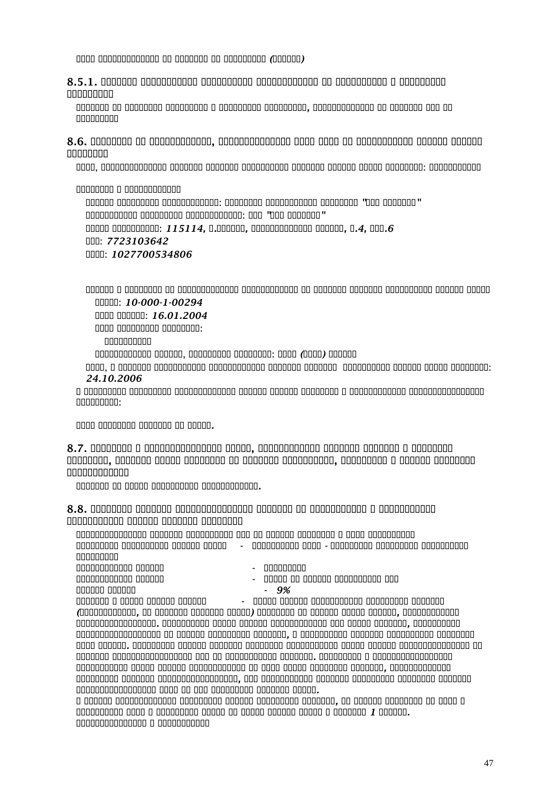**8.5.1.** 

**8.6. , , , , , , , , , , , , , , , , , , , , , , , , , , , , , , ,** 

, : : *" "* : *" "* : *115114, ., , .4, .6* : *7723103642*

*,* 

 *()*

: *1027700534806*

: *10-000-1-00294* : *16.01.2004*

 : , : *()*  , the contract of the contract of the contract of the contract of the contract of the contract of the contract of the contract of the contract of the contract of the contract of the contract of the contract of the contrac

**, ,** 

 *. . <i>, ,* 

*,* 

*24.10.2006*

 *.*

 *.*

:

**8.7. , , , , , , , , , , , , , , , , , , , , , , , , , , , , , , ,** 

**8.8.** 



 *.* 

 $\bf 1$  .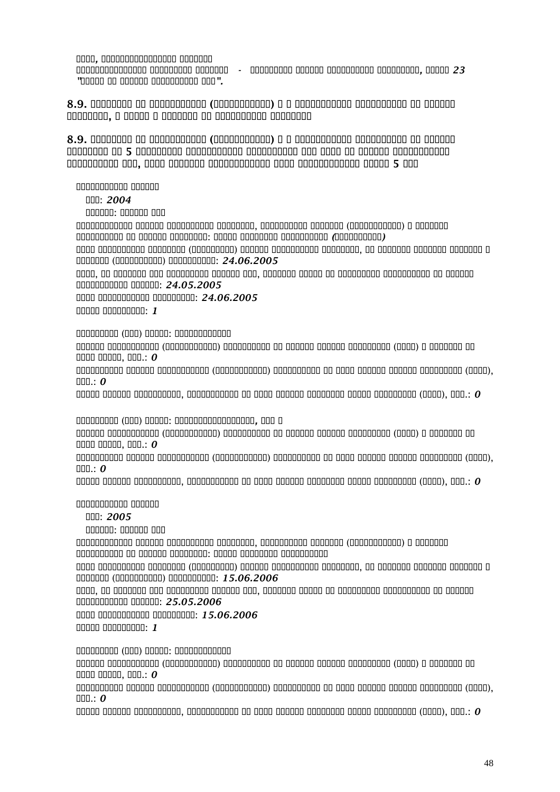*,*   $\frac{1}{2}$  ,  $\frac{23}{2}$ *" ".* **8.9. (** ) **, 8.9. (** )  **5 1** , the set of  $\overline{\phantom{a}}$  ,  $\overline{\phantom{a}}$  ,  $\overline{\phantom{a}}$  ,  $\overline{\phantom{a}}$  ,  $\overline{\phantom{a}}$  ,  $\overline{\phantom{a}}$  ,  $\overline{\phantom{a}}$  ,  $\overline{\phantom{a}}$  ,  $\overline{\phantom{a}}$  ,  $\overline{\phantom{a}}$  ,  $\overline{\phantom{a}}$  ,  $\overline{\phantom{a}}$  ,  $\overline{\phantom{a}}$  ,  $\overline{\phantom{a}}$  ,  $\overline{\phantom{$ : *2004* : , the contract of  $($  : *()*  $($   $)$  ,  $($  () : *24.06.2005* , the contract of the contract of the contract of the contract of the contract of the contract of the contract of the contract of the contract of the contract of the contract of the contract of the contract of the contrac : *24.05.2005*

 : *24.06.2005* : *1* () :  $($  and  $)$  and  $($  and  $)$  and  $($  and  $)$  and  $($  and  $)$  and  $($  and  $)$  and  $($  and  $)$  and  $($  and  $)$  and  $($  and  $)$  and  $($  and  $)$  and  $($  and  $)$  and  $($  and  $)$  and  $($  and  $)$  and  $($  and  $)$  and  $($  and  $)$  a , .: *0*  $(+) \hspace{7cm} (-)$ .: *0* , (), .: *0*  $($   $)$   $:$  $($  and  $)$  and  $($  and  $)$  and  $($  and  $)$  and  $($  and  $)$  and  $($  and  $)$  and  $($  and  $)$  and  $($  and  $)$  and  $($  and  $)$  and  $($  and  $)$  and  $($  and  $)$  and  $($  and  $)$  and  $($  and  $)$  and  $($  and  $)$  and  $($  and  $)$  a , .: *0*

 $($  and  $)$  and  $($  and  $)$ ,  $($  and  $)$ ,  $($  and  $)$ ,  $($  and  $)$ ,  $($  and  $)$ ,  $($  and  $)$ ,  $($  and  $)$ ,  $($  and  $)$ ,  $($  and  $)$ ,  $($  and  $)$ ,  $($  and  $)$ ,  $($  and  $)$ ,  $($  and  $)$ ,  $($  and  $)$ ,  $($  and  $)$ ,  $($  and  $)$ .: *0* , we have the set of  $($   $),$   $\ldots$  0

: *2005* : , the contract of  $($ ://www.com/second-com/second-com/second-com/second-com/second-com/second-com/second-com/second-com/second-com/  $($   $)$  ,  $($  () : *15.06.2006* , , : *25.05.2006* : *15.06.2006* : *1*  $($   $)$   $:$  $($  and  $)$  and  $($  and  $)$  and  $($  and  $)$  and  $($  and  $)$  and  $($  and  $)$  and  $($  and  $)$  and  $($  and  $)$  and  $($  and  $)$  and  $($  and  $)$  and  $($  and  $)$  and  $($  and  $)$  and  $($  and  $)$  and  $($  and  $)$  and  $($  and  $)$  a , .: *0*  $($  ) ( ), .: *0* , where  $($   $)$ ,  $\therefore$  0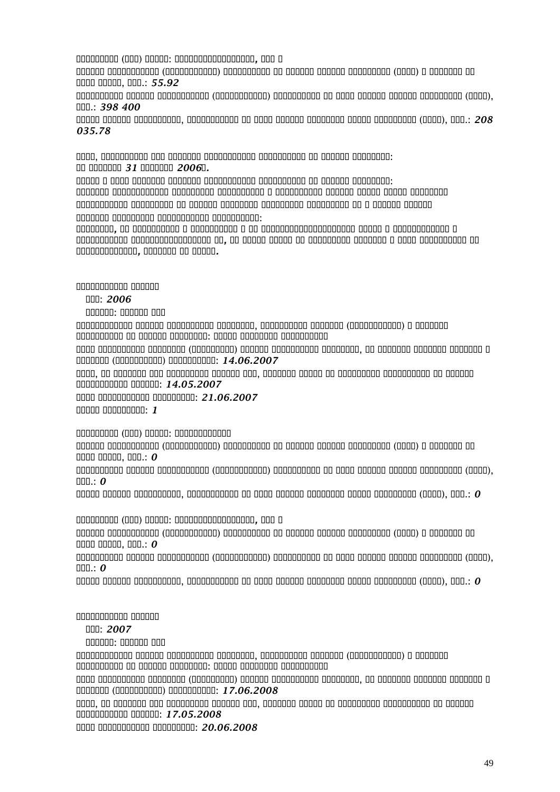() : *,*   $($  and  $)$  and  $($  and  $)$  and  $($  and  $)$  and  $($  and  $)$  and  $($  and  $)$  and  $($  and  $)$  and  $($  and  $)$  and  $($  and  $)$  and  $($  and  $)$  and  $($  and  $)$  and  $($  and  $)$  and  $($  and  $)$  and  $($  and  $)$  and  $($  and  $)$  a , .: *55.92*  $($  and  $)$  and  $($  and  $)$ ,  $($  and  $)$ ,  $($  and  $)$ ,  $($  and  $)$ ,  $($  and  $)$ ,  $($  and  $)$ ,  $($  and  $)$ ,  $($  and  $)$ ,  $($  and  $)$ ,  $($  and  $)$ ,  $($  and  $)$ ,  $($  and  $)$ ,  $($  and  $)$ ,  $($  and  $)$ ,  $($  and  $)$ ,  $($  and  $)$ .: *398 400*

#### ,  $\hspace{1.6cm}$ , .: 208 *035.78*

, the contract of the contract of  $\mathcal{L}$  , the contract of the contract of  $\mathcal{L}$  $^{'}$  31 2006. and the state of the state of the state of the state of the state of the state of the state of the state of th

the control of the control of the control of the *, , , .*

### : *2006*

: ,  $($   $)$ ://www.com/second-com/second-com/second-com/second-com/second-com/second-com/second-com/second-com/second-com/  $($   $)$  ,  $($   $)$   $: 14.06.2007$ , ,

#### : *14.05.2007* : *21.06.2007* : *1*

 () :  $($  and  $)$  and  $($  and  $)$  and  $($  and  $)$  and  $($  and  $)$  and  $($  and  $)$  and  $($  and  $)$  and  $($  and  $)$  and  $($  and  $)$  and  $($  and  $)$  and  $($  and  $)$  and  $($  and  $)$  and  $($  and  $)$  and  $($  and  $)$  and  $($  and  $)$  a , .: *0*  $($  and  $)$  and  $($  and  $)$ ,  $($  and  $)$ ,  $($  and  $)$ ,  $($  and  $)$ ,  $($  and  $)$ ,  $($  and  $)$ ,  $($  and  $)$ ,  $($  and  $)$ ,  $($  and  $)$ ,  $($  and  $)$ ,  $($  and  $)$ ,  $($  and  $)$ ,  $($  and  $)$ ,  $($  and  $)$ ,  $($  and  $)$ ,  $($  and  $)$ .: *0* ,  $\, \, . \, \, . \, \, . \, \, . \, \, 0$ 

 $($   $)$   $\vdots$  $($  and  $)$  and  $($  and  $)$  and  $($  and  $)$  and  $($  and  $)$  and  $($  and  $)$  and  $($  and  $)$  and  $($  and  $)$  and  $($  and  $)$  and  $($  and  $)$  and  $($  and  $)$  and  $($  and  $)$  and  $($  and  $)$  and  $($  and  $)$  and  $($  and  $)$  a , .: *0*  $($  and  $)$  and  $($  and  $)$ ,  $($  and  $)$ ,  $($  and  $)$ ,  $($  and  $)$ ,  $($  and  $)$ ,  $($  and  $)$ ,  $($  and  $)$ ,  $($  and  $)$ ,  $($  and  $)$ ,  $($  and  $)$ ,  $($  and  $)$ ,  $($  and  $)$ ,  $($  and  $)$ ,  $($  and  $)$ ,  $($  and  $)$ ,  $($  and  $)$ .: *0*

, we have the set of  $($   $),$   $\ldots$  0

# : *2007* :

, where  $\alpha$  , and  $\beta$  , and  $\beta$  , and  $\beta$  , and  $\beta$  , and  $\beta$ ://www.com/second-com/second-com/second-com/second-com/second-com/second-com/second-com/second-com/second-com/  $($   $)$  ,  $($   $)$   $: 17.06.2008$ , , : *17.05.2008*

: *20.06.2008*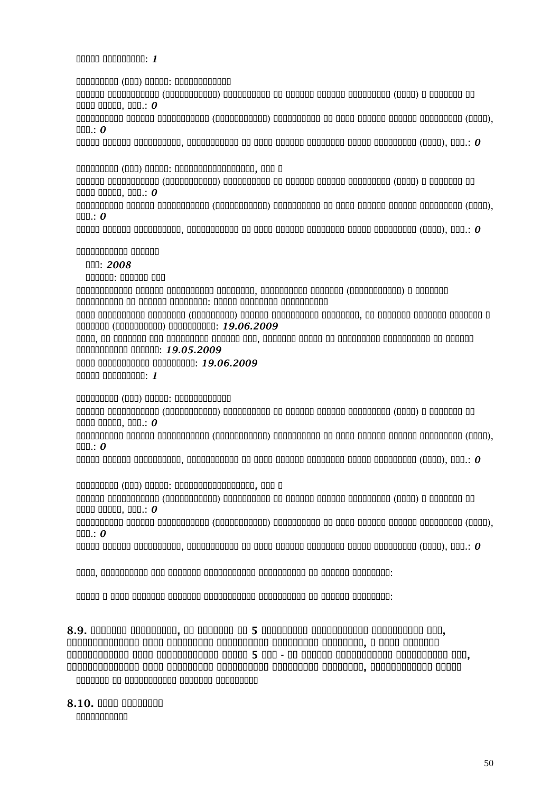$\therefore$  1  $(+) \qquad :$  $($   $)$  $\big)$  $\overline{a}$  $\therefore$  0  $\overline{a}$  $($  ),  $\overline{\phantom{a}}$  $\overline{(\ }$  $\therefore$  0  $($  ),  $\therefore$  0  $\overline{\phantom{a}}$  $($   $)$  $\sim$  $\overline{)}$  $($   $)$  $\overline{(\ }$  $\therefore$  0  $\overline{\phantom{a}}$  $\overline{\phantom{a}}$  $($  ),  $\overline{(\ }$  $\therefore$  0  $\therefore$  0  $\left($  $),$ ,  $: 2008$  $\sim 10$ 

 $\overline{(\ }$  $\,$   $)$  $\sim 10^6$  $($  )<br>: 19.06.2009  $\overline{\phantom{a}}$  $\overline{(\ }$  $\big)$ :  $19.05.2009$  $\overline{\phantom{a}}$  $: 19.06.2009$  $\therefore$  1  $( )$  :  $\therefore$  0<sup> $($ </sup>  $($  )  $\hspace{0.15cm}$  )  $\overline{a}$  $\big($  $\overline{\phantom{a}}$  $($  ),  $\therefore$  0  $\therefore$  0  $($  ),  $\cdot$  $($   $)$  $\sim$  :  $\lambda$  $\overline{(\ }$  $\lambda$  $\overline{(\ }$ 

 $\therefore$  0  $\overline{\phantom{a}}$  $\overline{(}$  $\overline{\phantom{a}}$  $($ ,  $\therefore$  0  $\therefore$  0  $\overline{(\ }$  $),$  $\overline{\phantom{a}}$  $\ddot{\phantom{a}}$  $\,$  ,  $\ddot{\phantom{a}}$ 5 8.9.  $\overline{\phantom{a}}$  $\bar{\mathbf{J}}$ 

 $\overline{\phantom{a}}$  $\overline{\mathbf{5}}$  $\overline{a}$  $\overline{\phantom{a}}$ 

8.10.